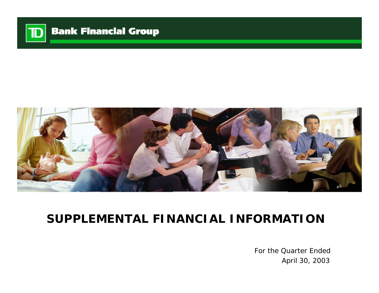

# **Bank Financial Group**



# **SUPPLEMENTAL FINANCIAL INFORMATION**

For the Quarter Ended April 30, 2003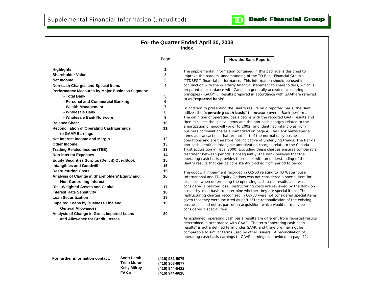### **For the Quarter Ended April 30, 2003 Index**

**Page**

| <b>Highlights</b>                                      | 1            |
|--------------------------------------------------------|--------------|
| <b>Shareholder Value</b>                               | $\mathbf{2}$ |
| <b>Net Income</b>                                      | 3            |
| <b>Non-cash Charges and Special Items</b>              | 4            |
| <b>Performance Measures by Major Business Segment:</b> |              |
| - Total Bank                                           | 5            |
| - Personal and Commercial Banking                      | 6            |
| - Wealth Management                                    | 7            |
| - Wholesale Bank                                       | 8            |
| - Wholesale Bank Non-core                              | 9            |
| <b>Balance Sheet</b>                                   | 10           |
| <b>Reconciliation of Operating Cash Earnings</b>       | 11           |
| to GAAP Earnings                                       |              |
| Net Interest Income and Margin                         | 12           |
| <b>Other Income</b>                                    | 13           |
| <b>Trading Related Income (TEB)</b>                    | 13           |
| <b>Non-Interest Expenses</b>                           | 14           |
| <b>Equity Securities Surplus (Deficit) Over Book</b>   | 15           |
| <b>Intangibles and Goodwill</b>                        | 15           |
| <b>Restructuring Costs</b>                             | 15           |
| Analysis of Change in Shareholders' Equity and         | 16           |
| <b>Non-Controlling Interest</b>                        |              |
| <b>Risk-Weighted Assets and Capital</b>                | 17           |
| <b>Interest Rate Sensitivity</b>                       | 18           |
| <b>Loan Securitization</b>                             | 18           |
| Impaired Loans by Business Line and                    | 19           |
| <b>General Allowances</b>                              |              |
| Analysis of Change in Gross Impaired Loans             | 20           |
| and Allowance for Credit Losses                        |              |
|                                                        |              |

### **How the Bank Reports**

כוד

The supplemental information contained in this package is designed to improve the readers' understanding of the TD Bank Financial Group's ("TDBFG") financial performance. This information should be used in conjunction with the quarterly financial statement to shareholders, which is prepared in accordance with Canadian generally accepted accounting principles ("GAAP"). Results prepared in accordance with GAAP are referred to as "**reported basis**".

In addition to presenting the Bank's results on a reported basis, the Bank utilizes the "**operating cash basis**" to measure overall Bank performance. The definition of operating basis begins with the reported GAAP results and then excludes the special items and the non-cash charges related to the amortization of goodwill (prior to 2002) and identified intangibles from business combinations as summarized on page 4. The Bank views special items as transactions that are not part of the normal daily business operations and are therefore not indicative of underlying trends. The Bank's non-cash identified intangible amortization charges relate to the Canada Trust acquisition in fiscal 2000. Excluding these charges ensures comparable treatment between periods. Consequently, the Bank believes that the operating cash basis provides the reader with an understanding of the Bank's results that can be consistently tracked from period to period.

The goodwill impairment recorded in Q2/03 relating to TD Waterhouse International and TD Equity Options was not considered a special item for exclusion when determining the operating cash basis results as it was considered a realized loss. Restructuring costs are reviewed by the Bank on a case-by-case basis to determine whether they are special items. The restructuring charges recognized in Q2/03 were not considered special items given that they were incurred as part of the rationalization of the existing businesses and not as part of an acquisition, which would normally be considered a special item.

As explained, operating cash basis results are different from reported results determined in accordance with GAAP. The term "operating cash basis results" is not a defined term under GAAP, and therefore may not be comparable to similar terms used by other issuers. A reconciliation of operating cash basis earnings to GAAP earnings is provided on page 11.

**For further information contact: Scott Lamb**

**Trish Moran Kelly Milroy FAX # (416) 982-5075 (416) 308-6677 (416) 944-5422 (416) 944-6618**

**Bank Financial Group**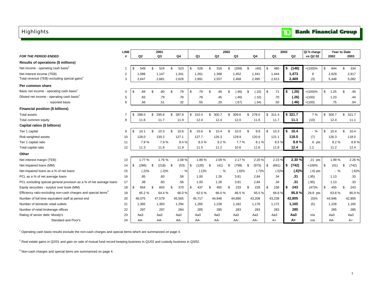## <span id="page-2-0"></span>**Highlights**

#### **Bank Financial Group**  $\mathbf{D}$

|                                                                            | <b>LINE</b>    |      |                | 2001        |     |                |     |        |     |                | 2002 |          |     |                |             | 2003 |                | Q2 % change | Year to Date |     |          |
|----------------------------------------------------------------------------|----------------|------|----------------|-------------|-----|----------------|-----|--------|-----|----------------|------|----------|-----|----------------|-------------|------|----------------|-------------|--------------|-----|----------|
| FOR THE PERIOD ENDED                                                       | #              |      | Q <sub>2</sub> | Q3          |     | Q <sub>4</sub> |     | Q1     |     | Q <sub>2</sub> |      | Q3       |     | Q <sub>4</sub> | Q1          |      | Q <sub>2</sub> | vs Q2 02    | 2002         |     | 2003     |
| Results of operations (\$ millions)                                        |                |      |                |             |     |                |     |        |     |                |      |          |     |                |             |      |                |             |              |     |          |
| Net income - operating cash basis <sup>1</sup>                             | -1             | \$   | 549            | \$<br>524   | \$. | 523            | \$  | 528    | \$  | 316            | \$   | (269)    | \$  | (40)           | \$<br>480   | s.   | (146)          | $+(100)%$   | \$<br>844    | \$  | 334      |
| Net interest income (TEB)                                                  | 2              |      | 1,088          | 1,147       |     | 1,341          |     | 1,261  |     | 1,368          |      | 1,452    |     | 1,441          | 1,444       |      | 1,473          | 8           | 2,629        |     | 2,917    |
| Total revenue (TEB) excluding special gains <sup>2</sup>                   | 3              |      | 2.647          | 2.681       |     | 2.629          |     | 2,891  |     | 2,557          |      | 2,468    |     | 2,495          | 2,613       |      | 2,469          | (3)         | 5,448        |     | 5,082    |
| Per common share                                                           |                |      |                |             |     |                |     |        |     |                |      |          |     |                |             |      |                |             |              |     |          |
| Basic net income - operating cash basis <sup>1</sup>                       | 4              | - \$ | .84            | \$<br>.80   | \$  | .79            | \$  | .79    | \$  | .46            | \$   | (.46)    | \$  | (.10)          | \$<br>.71   | \$   | (.26)          | $+(100)%$   | \$<br>1.25   | \$  | .45      |
| Diluted net income - operating cash basis <sup>1</sup>                     | 5              |      | .83            | .79         |     | .78            |     | .78    |     | .45            |      | (.46)    |     | (.10)          | .70         |      | (.26)          | $+(100)$    | 1.23         |     | .44      |
| - reported basis                                                           | 6              |      | .56            | .51         |     | .32            |     | .55    |     | .20            |      | (.67)    |     | (.34)          | .50         |      | (.46)          | $+(100)$    | .75          |     | .04      |
| Financial position (\$ billions)                                           |                |      |                |             |     |                |     |        |     |                |      |          |     |                |             |      |                |             |              |     |          |
| <b>Total assets</b>                                                        | $\overline{7}$ | \$   | 288.0          | \$<br>295.8 | \$  | 287.8          | \$  | 310.4  | \$  | 300.7          | \$   | 309.6    | \$  | 278.0          | \$311.4     |      | \$321.7        | 7 %         | \$<br>300.7  | \$  | 321.7    |
| Total common equity                                                        | 8              |      | 11.6           | 11.7        |     | 11.9           |     | 12.4   |     | 12.4           |      | 12.0     |     | 11.6           | 11.7        |      | 11.1           | (10)        | 12.4         |     | 11.1     |
| Capital ratios (\$ billions)                                               |                |      |                |             |     |                |     |        |     |                |      |          |     |                |             |      |                |             |              |     |          |
| Tier 1 capital                                                             | 9              | \$   | 10.1           | \$<br>10.3  | \$  | 10.6           | \$  | 10.6   | \$  | 10.4           | \$   | 10.0     | \$  | 9.8            | \$<br>10.3  | -S   | 10.4           | $-$ %       | \$<br>10.4   | \$  | 10.4     |
| Risk-weighted assets                                                       | 10             |      | 128.0          | 130.2       |     | 127.1          |     | 127.7  |     | 126.3          |      | 129.9    |     | 120.6          | 121.1       |      | 118.0          | (7)         | 126.3        |     | 118.0    |
| Tier 1 capital ratio                                                       | 11             |      | 7.9%           | 7.9%        |     | 8.4%           |     | 8.3%   |     | 8.2%           |      | 7.7%     |     | 8.1%           | 8.5%        |      | 8.8%           | $.6$ pts    | 8.2%         |     | 8.8%     |
| Total capital ratio                                                        | 12             |      | 11.3           | 11.8        |     | 11.9           |     | 11.5   |     | 11.2           |      | 10.6     |     | 11.6           | 11.8        |      | 12.4           | 1.2         | 11.2         |     | 12.4     |
| Other                                                                      |                |      |                |             |     |                |     |        |     |                |      |          |     |                |             |      |                |             |              |     |          |
| Net interest margin (TEB)                                                  | 13             |      | 1.77 %         | 1.76%       |     | 2.08%          |     | 1.89%  |     | 2.09%          |      | 2.17%    |     | 2.20 %         | 2.23 %      |      | 2.30 %         | $.21$ pts   | 1.99%        |     | 2.26%    |
| Net impaired loans (MM)                                                    | 14             | - \$ | (286)          | \$<br>(218) | \$  | (53)           | -\$ | (126)  | -\$ | (41)           | \$   | (799)    | -\$ | (975)          | \$<br>(661) | \$   | (742)          | $+100%$     | \$<br>(41)   | -\$ | (742)    |
| Net impaired loans as a % of net loans                                     | 15             |      | (.2)%          | (.2)%       |     | $-$ %          |     | (.1)%  |     | $-$ %          |      | $(.6)$ % |     | (.7)%          | (.5)%       |      | (.6)%          | $(.6)$ pts  | $-$ %        |     | $(.6)$ % |
| PCL as a % of net average loans                                            | 16             |      | .85            | .60         |     | .58            |     | 1.00   |     | 1.26           |      | 3.81     |     | 2.84           | .34         |      | .31            | (.95)       | 1.13         |     | .33      |
| PCL excluding special general provision as a % of net average loans        | 17             |      | .38            | .60         |     | .58            |     | 1.00   |     | 1.26           |      | 3.81     |     | 2.84           | .34         |      | .31            | (.95)       | 1.13         |     | .33      |
| Equity securities - surplus over book (MM)                                 | 18             | \$   | 654            | \$<br>603   | \$  | 370            | \$  | 437    | \$  | 455            | \$   | 233      | \$  | 228            | \$<br>158   | -5   | 243            | (47)%       | \$<br>455    | \$  | 243      |
| Efficiency ratio-excluding non-cash charges and special items <sup>3</sup> | 19             |      | 65.2%          | 64.4%       |     | 66.0%          |     | 62.0%  |     | 66.0%          |      | 66.5%    |     | 65.5%          | 66.8%       |      | 95.8%          | 29.8 pts    | 63.8%        |     | 80.9%    |
| Number of full-time equivalent staff at period end                         | 20             |      | 46,075         | 47,579      |     | 45,565         |     | 45,717 |     | 44,946         |      | 44,890   |     | 43,208         | 43,239      |      | 42,805         | (5)%        | 44,946       |     | 42,805   |
| Number of domestic retail outlets                                          | 21             |      | 1,365          | 1,350       |     | 1,294          |     | 1,265  |     | 1,228          |      | 1,182    |     | 1,178          | 1,172       |      | 1,165          | (5)         | 1,228        |     | 1,165    |
| Number of retail brokerage offices                                         | 22             |      | 297            | 297         |     | 284            |     | 285    |     | 285            |      | 283      |     | 283            | 283         |      | 285            |             | 285          |     | 285      |
| Rating of senior debt: Moody's                                             | 23             |      | Aa3            | Aa3         |     | АаЗ            |     | АаЗ    |     | Aa3            |      | Aa3      |     | Aa3            | Aa3         |      | Aa3            | n/a         | АаЗ          |     | Aa3      |
| Standard and Poor's                                                        | 24             |      | AA-            | AA-         |     | AA-            |     | AA-    |     | AA-            |      | AA-      |     | AA-            | $A+$        |      | A+             | n/a         | AA-          |     | A+       |

<sup>1</sup> Operating cash basis results exclude the non-cash charges and special items which are summarized on page 4.

 $^2$  Real estate gains in Q2/01 and gain on sale of mutual fund record keeping business in Q1/02 and custody business in Q3/02.

 $3$  Non-cash charges and special items are summarized on page 4.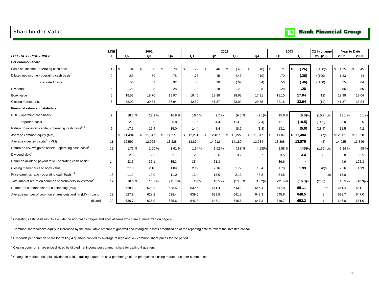## <span id="page-3-0"></span>Shareholder Value

|  | <b>Bank Financial Group</b> |  |
|--|-----------------------------|--|
|--|-----------------------------|--|

|                                                                     | <b>LINE</b>    |                | 2001         |                |                  | 2002           |                          |               |              | 2003           | Q2 % change  |                    | Year to Date |
|---------------------------------------------------------------------|----------------|----------------|--------------|----------------|------------------|----------------|--------------------------|---------------|--------------|----------------|--------------|--------------------|--------------|
| <b>FOR THE PERIOD ENDED</b>                                         |                | Q <sub>2</sub> | Q3           | Q <sub>4</sub> | Q1               | Q <sub>2</sub> | Q3                       | Q4            | Q1           | Q2             | vs Q2 02     | 2002               | 2003         |
| Per common share                                                    |                |                |              |                |                  |                |                          |               |              |                |              |                    |              |
| Basic net income - operating cash basis <sup>1</sup>                | 1              | \$<br>.84      | -\$<br>.80   | -\$<br>.79     | \$<br>.79<br>-\$ | .46            | (.46)<br>\$              | - \$<br>(.10) | \$<br>.71    | \$<br>(.26)    | $+(100)%$    | $\sqrt{3}$<br>1.25 | -\$<br>.45   |
| Diluted net income - operating cash basis <sup>1</sup>              | $\overline{2}$ | .83            | .79          | .78            | .78              | .45            | (.46)                    | (.10)         | .70          | (.26)          | $+(100)$     | 1.23               | .44          |
| - reported basis                                                    | 3              | .56            | .51          | .32            | .55              | .20            | (.67)                    | (.34)         | .50          | (.46)          | $+(100)$     | .75                | .04          |
| Dividends                                                           |                | .28            | .28          | .28            | .28              | .28            | .28                      | .28           | .28          | .28            |              | .56                | .56          |
| Book value                                                          | 5              | 18.52          | 18.70        | 18.97          | 19.45            | 19.38          | 18.62                    | 17.91         | 18.10        | 17.04          | (12)         | 19.38              | 17.04        |
| Closing market price                                                | 6              | 38.90          | 39.34        | 35.94          | 42.60            | 41.87          | 33.00                    | 29.35         | 32.18        | 33.94          | (19)         | 41.87              | 33.94        |
| <b>Financial ratios and statistics</b>                              |                |                |              |                |                  |                |                          |               |              |                |              |                    |              |
| ROE - operating cash basis <sup>1</sup>                             | $\overline{7}$ | 18.7%          | 17.1 %       | 16.8%          | 16.4 %           | 9.7%           | (9.5)%                   | (2.1)%        | 15.6%        | (6.0)%         | $(15.7)$ pts | 13.1 %             | 5.1%         |
| - reported basis                                                    | 8              | 12.8           | 10.9         | 6.8            | 11.5             | 4.4            | (13.9)                   | (7.4)         | 11.1         | (10.5)         | (14.9)       | 8.0                | $.5\,$       |
| Return on invested capital - operating cash basis <sup>1, 2</sup>   | 9              | 17.1           | 15.4         | 15.0           | 14.4             | 8.4            | (8.2)                    | (1.8)         | 13.1         | (5.0)          | (13.4)       | 11.5               | 4.2          |
| Average common equity (MM)                                          | 10             | \$<br>11.494   | S.<br>11,647 | S.<br>11,777   | 12,231<br>\$     | \$<br>12,407   | 12,227<br>\$             | \$<br>11,817  | 11,607<br>\$ | \$11,484       | (7)%         | \$12,301           | \$11,520     |
| Average invested capital <sup>2</sup> (MM)                          | 11             | 12,592         | 12,925       | 13,228         | 13,874           | 14,212         | 14,189                   | 13,934        | 13,868       | 13,875         | (2)          | 14,025             | 13,846       |
| Return on risk-weighted assets - operating cash basis <sup>1</sup>  | 12             | 1.75 %         | 1.60%        | 1.61%          | 1.64 %           | 1.02%          | $(.83)\%$                | (.13)%        | 1.58 %       | (.48)%         | $(1.50)$ pts | 1.34 %             | .55 %        |
| Dividend yield <sup>3</sup>                                         | 13             | 2.5            | 2.6          | 2.7            | 2.8              | 2.6            | 3.2                      | 3.7           | 3.5          | 3.4            | .8           | 2.8                | 3.5          |
| Common dividend payout ratio - operating cash basis <sup>1</sup>    | 14             | 33.5           | 35.1         | 35.3           | 35.4             | 61.3           | $\overline{\phantom{a}}$ | ٠             | 39.6         |                | ٠            | 44.9               | 125.3        |
| Closing market price to book value                                  | 15             | 2.10           | 2.10         | 1.89           | 2.19             | 2.16           | 1.77                     | 1.64          | 1.78         | 1.99           | $(8)\%$      | 2.16               | 1.99         |
| Price earnings ratio - operating cash basis <sup>1, 4</sup>         | 16             | 11.9           | 12.0         | 11.0           | 13.4             | 15.0           | 21.3                     | 43.8          | 54.5         | $\blacksquare$ | - pts        | 15.0               |              |
| Total market return on common shareholders' investment <sup>5</sup> | 17             | 16.6%          | 14.3%        | (11.7)%        | (1.0)%           | 10.5%          | $(13.3)\%$               | (15.2)%       | (21.8)%      | (16.3)%        | (26.8)       | 10.5%              | $(16.3)\%$   |
| Number of common shares outstanding (MM)                            | 18             | 628.1          | 628.3        | 628.5          | 639.6            | 641.4          | 643.2                    | 645.4         | 647.9        | 651.1          | 2%           | 641.4              | 651.1        |
| Average number of common shares outstanding (MM) - basic            | 19             | 627.9          | 628.2        | 628.4          | 639.5            | 639.8          | 641.5                    | 643.3         | 645.6        | 648.5          |              | 639.7              | 647.0        |
| - diluted                                                           | 20             | 636.7          | 636.0        | 635.6          | 646.8            | 647.1          | 646.6                    | 647.3         | 649.7        | 652.2          |              | 647.0              | 651.0        |

 $1$  Operating cash basis results exclude the non-cash charges and special items which are summarized on page 4.

 $^{2}$  Common shareholder's equity is increased by the cumulative amount of goodwill and intangible assets amortized as of the reporting date to reflect the invested capital.

 $3$  Dividends per common share for trailing 4 quarters divided by average of high and low common share prices for the period

<sup>4</sup> Closing common share price divided by diluted net income per common share for trailing 4 quarters

<sup>5</sup> Change in market price plus dividends paid in trailing 4 quarters as a percentage of the prior year's closing market price per common share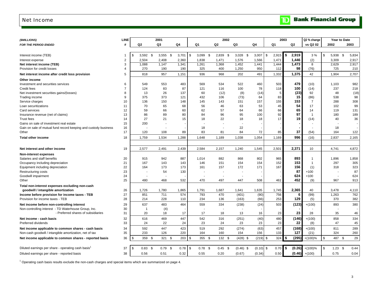### <span id="page-4-0"></span>Net Income

| (\$MILLIONS)                                                    | <b>LINE</b>    |     |                | 2001        |           |      |           |      | 2002           |    |             |             |             | 2003      |              | Q2 % change     |      |           | Year to Date |
|-----------------------------------------------------------------|----------------|-----|----------------|-------------|-----------|------|-----------|------|----------------|----|-------------|-------------|-------------|-----------|--------------|-----------------|------|-----------|--------------|
| FOR THE PERIOD ENDED                                            | #              | Q2  |                | Q3          | Q4        |      | Q1        |      | Q <sub>2</sub> | Q3 |             | Q4          | Q1          |           | Q2           | vs Q2 02        | 2002 |           | 2003         |
|                                                                 |                |     |                |             |           |      |           |      |                |    |             |             |             |           |              |                 |      |           |              |
| Interest income (TEB)                                           | 1              | \$  | $3,592$ \$     | $3,555$ \$  | 3,701     | \$   | 3,099     | - \$ | 2,839<br>- \$  |    | $3,028$ \$  | 3,007       | \$<br>2,915 | \$        | 2,919        | 3 %             | \$   | 5,938 \$  | 5,834        |
| Interest expense                                                | $\overline{2}$ |     | 2,504          | 2,408       | 2,360     |      | 1,838     |      | 1,471          |    | 1,576       | 1,566       | 1,471       |           | 1,446        | (2)             |      | 3,309     | 2,917        |
| Net interest income (TEB)                                       | 3              |     | 1,088          | 1,147       | 1,341     |      | 1,261     |      | 1,368          |    | 1,452       | 1,441       | 1,444       |           | 1,473        | 8               |      | 2,629     | 2,917        |
| Provision for credit losses                                     | $\overline{4}$ |     | 270            | 190         | 190       |      | 325       |      | 400            |    | 1,250       | 950         |             | 112       | 98           | (76)            |      | 725       | 210          |
| Net interest income after credit loss provision                 | 5              |     | 818            | 957         | 1,151     |      | 936       |      | 968            |    | 202         | 491         |             | 1,332     | 1,375        | 42              |      | 1,904     | 2,707        |
| Other income                                                    |                |     |                |             |           |      |           |      |                |    |             |             |             |           |              |                 |      |           |              |
| Investment and securities services                              | 6              |     | 549            | 553         | 483       |      | 569       |      | 534            |    | 522         | 460         |             | 503       | 479          | (10)            |      | 1,103     | 982          |
| Credit fees                                                     | $\overline{7}$ |     | 124            | 83          | 87        |      | 121       |      | 116            |    | 100         | 78          |             | 118       | 100          | (14)            |      | 237       | 218          |
| Net investment securities gains/(losses)                        | 8              |     | 13             | 26          | 137       |      | 60        |      | (12)           |    | (8)         | (14)        |             | 5         | (23)         | 92              |      | 48        | (18)         |
| Trading income                                                  | 9              |     | 375            | 373         | 121       |      | 432       |      | 106            |    | (73)        | 64          |             | 83        | 15           | (86)            |      | 538       | 98           |
| Service charges                                                 | 10             |     | 136            | 150         | 148       |      | 145       |      | 143            |    | 151         | 157         |             | 155       | 153          | $\overline{7}$  |      | 288       | 308          |
| Loan securitizations                                            | 11             |     | 70             | 65          | 68        |      | 56        |      | 46             |    | 63          | 53          |             | 45        | 54           | 17              |      | 102       | 99           |
|                                                                 |                |     | 59             |             | 60        |      | 62        |      | 57             |    | 64          | 66          |             | 66        | 65           | 14              |      | 119       |              |
| Card services                                                   | 12             |     |                | 66          |           |      |           |      |                |    |             |             |             |           | 97           |                 |      |           | 131          |
| Insurance revenue (net of claims)                               | 13             |     | 86             | 89          | 80        |      | 84        |      | 96             |    | 95          | 100         |             | 92<br>17  |              | $\overline{1}$  |      | 180       | 189          |
| Trust fees                                                      | 14             |     | 27             | 21          | 15        |      | 18        |      | 22             |    | 18          | 18          |             |           | 19           | (14)            |      | 40        | 36           |
| Gains on sale of investment real estate                         | 15             |     | 200            |             |           |      |           |      |                |    |             |             |             |           |              |                 |      |           |              |
| Gain on sale of mutual fund record keeping and custody business | 16             |     |                |             |           |      | 18        |      |                |    | 22          |             |             |           |              |                 |      | 18        |              |
| Other                                                           | 17             |     | 120            | 108         | 89        |      | 83        |      | 81             |    | 84          | 72          |             | 85        | 37           | (54)            |      | 164       | 122          |
| <b>Total other income</b>                                       | 18             |     | 1,759          | 1,534       | 1,288     |      | 1,648     |      | 1,189          |    | 1,038       | 1,054       | 1,169       |           | 996          | (16)            |      | 2,837     | 2,165        |
|                                                                 |                |     |                |             |           |      |           |      |                |    |             |             |             |           |              |                 |      |           |              |
| Net interest and other income                                   | 19             |     | 2,577          | 2,491       | 2,439     |      | 2,584     |      | 2,157          |    | 1,240       | 1,545       | 2,501       |           | 2,371        | 10              |      | 4,741     | 4,872        |
| Non-interest expenses                                           |                |     |                |             |           |      |           |      |                |    |             |             |             |           |              |                 |      |           |              |
| Salaries and staff benefits                                     | 20             |     | 915            | 942         | 887       |      | 1,014     |      | 882            |    | 868         | 802         |             | 965       | 893          | $\mathbf{1}$    |      | 1,896     | 1,858        |
| Occupancy including depreciation                                | 21             |     | 167            | 143         | 143       |      | 146       |      | 151            |    | 154         | 154         |             | 152       | 153          | $\overline{1}$  |      | 297       | 305          |
| Equipment including depreciation                                | 22             |     | 164            | 173         | 173       |      | 161       |      | 157            |    | 172         | 171         |             | 167       | 156          | (1)             |      | 318       | 323          |
| Restructuring costs                                             | 23             |     |                | 54          | 130       |      |           |      |                |    |             |             |             |           | 87           | $+100$          |      |           | 87           |
| Goodwill impairment                                             | 24             |     |                |             |           |      |           |      |                |    |             |             |             |           | 624          | $+100$          |      |           | 624          |
| Other                                                           | 25             |     | 480            | 468         | 532       |      | 470       |      | 497            |    | 447         | 508         |             | 461       | 452          | (9)             |      | 967       | 913          |
|                                                                 |                |     |                |             |           |      |           |      |                |    |             |             |             |           |              |                 |      |           |              |
| Total non-interest expenses excluding non-cash                  |                |     |                |             |           |      |           |      |                |    |             |             |             |           |              |                 |      |           |              |
| goodwill / intangible amortization                              | 26             |     | 1,726          | 1,780       | 1,865     |      | 1,791     |      | 1,687          |    | 1,641       | 1,635       | 1,745       |           | 2,365        | 40              |      | 3,478     | 4,110        |
| Income before provision for income taxes - TEB                  | 27             |     | 851            | 711         | 574       |      | 793       |      | 470            |    | (401)       | (90)        |             | 756       | 6            | (99)            |      | 1,263     | 762          |
| Provision for income taxes - TEB                                | 28             |     | 214            | 228         | 110       |      | 234       |      | 136            |    | (163)       | (66)        |             | 253       | 129          | (5)             |      | 370       | 382          |
| Net income before non-controlling interest                      | 29             |     | 637            | 483         | 464       |      | 559       |      | 334            |    | (238)       | (24)        |             | 503       | (123)        | $+(100)$        |      | 893       | 380          |
| Non-controlling interest - TD Waterhouse Group, Inc.            | 30             |     | $\overline{1}$ | (4)         |           |      |           |      |                |    |             |             |             |           |              |                 |      |           |              |
| - Preferred shares of subsidiaries                              | 31             |     | 20             | 18          | 17        |      | 17        |      | 18             |    | 13          | 16          |             | 23        | 23           | 28              |      | 35        | 46           |
| Net income - cash basis                                         | 32             |     | 616            | 469         | 447       |      | 542       |      | 316            |    | (251)       | (40)        |             | 480       | (146)        | $+(100)$        |      | 858       | 334          |
| Preferred dividends                                             | 33             |     | 24             | 22          | 24        |      | 23        |      | 24             |    | 23          | 23          |             | 23        | 22           | (8)             |      | 47        | 45           |
| Net income applicable to common shares - cash basis             | 34             |     | 592            | 447         | 423       |      | 519       |      | 292            |    | (274)       | (63)        |             | 457       | (168)        | $+(100)$        |      | 811       | 289          |
| Non-cash goodwill / intangible amortization, net of tax         | 35             |     | 233            | 126         | 220       |      | 164       |      | 160            |    | 154         | 156         |             | 133       | 127          | (21)            |      | 324       | 260          |
|                                                                 |                |     |                |             |           |      |           |      |                |    |             |             |             |           |              |                 |      |           |              |
| Net income applicable to common shares - reported basis         | 36             | \$  | 359            | - \$<br>321 | \$<br>203 | \$   | 355S      |      | 132S           |    | $(428)$ \$  | $(219)$ \$  |             | 324<br>\$ | (295)        | $+(100)%$       | \$   | 487 \$    | 29           |
| Diluted earnings per share - operating cash basis <sup>1</sup>  | 37             | -\$ | $0.83$ \$      | $0.79$ \$   | 0.78      | l \$ | $0.78$ \$ |      | $0.45$ \$      |    | $(0.46)$ \$ | $(0.10)$ \$ |             | 0.70      | (0.26)<br>\$ | $+(100)%$       | \$   | $1.23$ \$ | 0.44         |
|                                                                 |                |     |                |             |           |      |           |      |                |    |             |             |             |           |              |                 |      |           |              |
| Diluted earnings per share - reported basis                     | 38             |     | 0.56           | 0.51        | 0.32      |      | 0.55      |      | 0.20           |    | (0.67)      | (0.34)      |             | 0.50      |              | $(0.46)$ +(100) |      | 0.75      | 0.04         |

<sup>1</sup> Operating cash basis results exclude the non-cash charges and special items which are summarized on page 4.

### $\mathbf{D}$ **Bank Financial Group**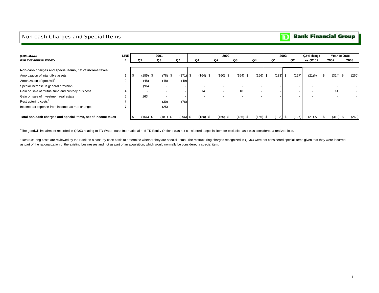## <span id="page-5-0"></span>Non-cash Charges and Special Items

#### **Bank Financial Group** וסד

| (\$MILLIONS)                                                  | <b>LINE</b> |     |                | 2001                     |                   |            | 2002       |               |            |            | 2003 |       | Q2 % change |      | Year to Date |       |
|---------------------------------------------------------------|-------------|-----|----------------|--------------------------|-------------------|------------|------------|---------------|------------|------------|------|-------|-------------|------|--------------|-------|
| <b>FOR THE PERIOD ENDED</b>                                   |             |     | Q <sub>2</sub> | Q3                       | Q4                | Q1         | Q2         | Q3            | Q4         | Q1         |      | Q2    | vs Q2 02    |      | 2002         | 2003  |
|                                                               |             |     |                |                          |                   |            |            |               |            |            |      |       |             |      |              |       |
| Non-cash charges and special items, net of income taxes:      |             |     |                |                          |                   |            |            |               |            |            |      |       |             |      |              |       |
| Amortization of intangible assets                             |             | ∣აა | $(185)$ \$     | $(78)$ \$                | $(171)$ \$        | $(164)$ \$ | (160) \$   | (154)<br>- \$ | $(156)$ \$ | $(133)$ \$ |      | (127) | (21)%       | - 35 | $(324)$ \$   | (260) |
| Amortization of goodwill <sup>1</sup>                         |             |     | (48)           | (48)                     | (49)              |            |            |               |            |            |      |       |             |      |              |       |
| Special increase in general provision                         |             |     | (96)           | $\overline{\phantom{a}}$ |                   |            |            |               |            |            |      |       |             |      |              |       |
| Gain on sale of mutual fund and custody business              |             |     |                |                          |                   | 14         |            | 18            |            |            |      |       |             |      | 14           |       |
| Gain on sale of investment real estate                        |             |     | 163            |                          |                   |            |            |               |            |            |      |       |             |      |              |       |
| Restructuring costs <sup>2</sup>                              | 6           |     |                | (30)                     | (76)              |            |            |               |            |            |      |       |             |      |              |       |
| Income tax expense from income tax rate changes               |             |     |                | (25)                     | ۰.                |            |            |               |            |            |      |       |             |      |              |       |
|                                                               |             |     |                |                          |                   |            |            |               |            |            |      |       |             |      |              |       |
| Total non-cash charges and special items, net of income taxes | 8           | -\$ | (166)          | (181)                    | $(296)$ \$<br>-\$ | $(150)$ \$ | $(160)$ \$ | (136)<br>P.   | $(156)$ \$ | $(133)$ \$ |      | (127) | (21)%       |      | $(310)$ \$   | (260) |

<sup>1</sup>The goodwill impairment recorded in Q2/03 relating to TD Waterhouse International and TD Equity Options was not considered a special item for exclusion as it was considered a realized loss.

<sup>2</sup> Restructuring costs are reviewed by the Bank on a case-by-case basis to determine whether they are special items. The restructuring charges recognized in Q2/03 were not considered special items given that they were inc as part of the rationalization of the existing businesses and not as part of an acquisition, which would normally be considered a special item.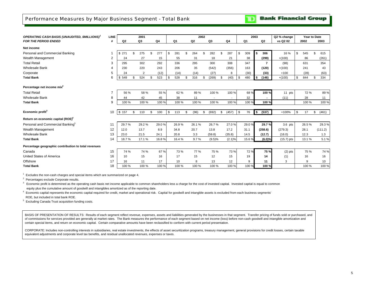<span id="page-6-0"></span>Performance Measures by Major Business Segment - Total Bank

**Bank Financial Group** 

m

| <b>OPERATING CASH BASIS (UNAUDITED, \$MILLIONS)<sup>7</sup></b> | <b>LINE</b> |                | 2001      |     |       |                |                | 2002 |                |             |           | 2003   |                | Q2 % change  |    | Year to Date |             |
|-----------------------------------------------------------------|-------------|----------------|-----------|-----|-------|----------------|----------------|------|----------------|-------------|-----------|--------|----------------|--------------|----|--------------|-------------|
| <b>FOR THE PERIOD ENDED</b>                                     | #           | Q <sub>2</sub> | Q3        |     | Q4    | Q <sub>1</sub> | Q <sub>2</sub> |      | Q <sub>3</sub> | Q4          | Q1        |        | Q2             | vs Q2 02     |    | 2002         | 2003        |
| Net income                                                      |             |                |           |     |       |                |                |      |                |             |           |        |                |              |    |              |             |
| Personal and Commercial Banking                                 |             | \$271          | \$<br>275 | \$. | 277   | \$<br>281      | \$<br>264      | \$.  | 282            | \$<br>287   | \$<br>309 | \$     | 306            | 16 %         | Ŝ. | 545          | \$<br>615   |
| Wealth Management                                               | 2           | 24             | 27        |     | 15    | 55             | 31             |      | 18             | 21          | 38        |        | (299)          | $+(100)$     |    | 86           | (261)       |
| <b>Total Retail</b>                                             | 3           | 295            | 302       |     | 292   | 336            | 295            |      | 300            | 308         | 347       |        | $\overline{7}$ | (98)         |    | 631          | 354         |
| <b>Wholesale Bank</b>                                           |             | 230            | 220       |     | 243   | 206            | 35             |      | (542)          | (356)       | 163       |        | (120)          | $+(100)$     |    | 241          | 43          |
| Corporate                                                       | 5           | 24             | 2         |     | (12)  | (14)           | (14)           |      | (27)           | 8           | (30)      |        | (33)           | $+100$       |    | (28)         | (63)        |
| <b>Total Bank</b>                                               | 6           | \$549          | \$<br>524 | \$  | 523   | \$<br>528      | 316            |      | (269)          | \$<br>(40)  | \$<br>480 | \$     | (146)          | $+(100)$     |    | 844          | \$<br>334   |
| Percentage net income mix <sup>2</sup>                          |             |                |           |     |       |                |                |      |                |             |           |        |                |              |    |              |             |
| <b>Total Retail</b>                                             |             | 56 %           | 58 %      |     | 55 %  | 62 %           | 89%            |      | 100 %          | 100 %       | 68 %      |        | 100 %          | 11 pts       |    | 72 %         | 89%         |
| <b>Wholesale Bank</b>                                           | 8           | 44             | 42        |     | 45    | 38             | 11             |      |                |             | 32        |        |                | (11)         |    | 28           | 11          |
| <b>Total Bank</b>                                               | 9           | 100 %          | 100 %     |     | 100 % | 100 %          | 100 %          |      | 100 %          | 100 %       | 100 %     |        | 100 %          |              |    | 100 %        | 100 %       |
|                                                                 |             |                |           |     |       |                |                |      |                |             |           |        |                |              |    |              |             |
| Economic profit <sup>3</sup>                                    | 10          | \$157          | \$<br>110 | \$  | 100   | \$<br>113      | \$<br>(96)     | \$   | (692)          | \$<br>(457) | \$<br>76  | $\sim$ | (537)          | $+100%$      | \$ | 17           | \$<br>(461) |
| Return on economic capital (ROE) <sup>4</sup>                   |             |                |           |     |       |                |                |      |                |             |           |        |                |              |    |              |             |
| Personal and Commercial Banking <sup>5</sup>                    | 11          | 29.7%          | 29.2%     |     | 29.0% | 26.9%          | 26.1%          |      | 26.7%          | 27.0%       | 29.0%     |        | 29.7%          | $3.6$ pts    |    | 26.5%        | 29.3%       |
| Wealth Management                                               | 12          | 12.0           | 13.7      |     | 8.9   | 34.8           | 20.7           |      | 13.8           | 17.2        | 31.1      |        | (258.6)        | (279.3)      |    | 28.1         | (111.2)     |
| <b>Wholesale Bank</b>                                           | 13          | 23.0           | 21.5      |     | 24.1  | 20.8           | 3.3            |      | (59.8)         | (35.8)      | 14.5      |        | (12.7)         | (16.0)       |    | 12.3         | 1.3         |
| <b>Total Bank</b>                                               | 14          | 18.7%          | 17.1 %    |     | 16.8% | 16.4 %         | 9.7%           |      | (9.5)%         | (2.1)%      | 15.6%     |        | (6.0)%         | $(15.7)$ pts |    | 13.1%        | 5.1%        |
| Percentage geographic contribution to total revenues            |             |                |           |     |       |                |                |      |                |             |           |        |                |              |    |              |             |
| Canada                                                          | 15          | 74 %           | 74 %      |     | 67%   | 73 %           | 77 %           |      | 75 %           | 73 %        | 72 %      |        | 75%            | $(2)$ pts    |    | 75 %         | 74 %        |
| United States of America                                        | 16          | 10             | 15        |     | 16    | 17             | 15             |      | 12             | 15          | 19        |        | 14             | (1)          |    | 16           | 16          |
| Offshore                                                        | 17          | 16             | 11        |     | 17    | 10             | 8              |      | 13             | 12          | 9         |        | 11             | 3            |    | 9            | 10          |
| <b>Total Bank</b>                                               | 18          | 100 %          | 100 %     |     | 100 % | 100 %          | 100 %          |      | 100 %          | 100 %       | 100 %     |        | 100 %          |              |    | 100 %        | 100 %       |

 $1$  Excludes the non-cash charges and special items which are summarized on page 4.

2 Percentages exclude Corporate results.

<sup>3</sup> Economic profit is determined as the operating cash basis net income applicable to common shareholders less a charge for the cost of invested capital. Invested capital is equal to common equity plus the cumulative amount of goodwill and intangibles amortized as of the reporting date.

4 Economic capital represents the economic capital required for credit, market and operational risk. Capital for goodwill and intangible assets is excluded from each business segments' ROE, but included in total bank ROE.

5 Excluding Canada Trust acquisition funding costs.

BASIS OF PRESENTATION OF RESULTS: Results of each segment reflect revenue, expenses, assets and liabilities generated by the businesses in that segment. Transfer pricing of funds sold or purchased, and of commissions for services provided are generally at market rates. The Bank measures the performance of each segment based on net income (loss) before non-cash goodwill and intangible amortization and certain special items, and return on economic capital. Certain comparative amounts have been reclassified to conform with current period presentation.

CORPORATE: Includes non-controlling interests in subsidiaries, real estate investments, the effects of asset securitization programs, treasury management, general provisions for credit losses, certain taxable equivalent adjustments and corporate level tax benefits, and residual unallocated revenues, expenses or taxes.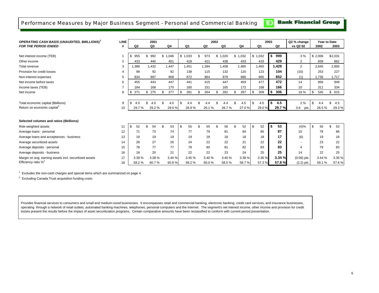## <span id="page-7-0"></span>Performance Measures by Major Business Segment - Personal and Commercial Banking

**Bank Financial Group** 

TD.

| <b>OPERATING CASH BASIS (UNAUDITED, \$MILLIONS)<sup>3</sup></b> | <b>LINE</b>    |           | 2001      |           |       |           |                | 2002 |       |           |           | 2003 |                | Q2 % change    |         | Year to Date |           |
|-----------------------------------------------------------------|----------------|-----------|-----------|-----------|-------|-----------|----------------|------|-------|-----------|-----------|------|----------------|----------------|---------|--------------|-----------|
| <b>FOR THE PERIOD ENDED</b>                                     | #              | Q2        | Q3        | Q4        |       | Q1        | Q <sub>2</sub> |      | Q3    | Q4        | Q1        |      | Q <sub>2</sub> | vs Q2 02       |         | 2002         | 2003      |
|                                                                 |                |           |           |           |       |           |                |      |       |           |           |      |                |                |         |              |           |
| Net interest income (TEB)                                       |                | 955       | \$<br>992 | \$1,046   |       | \$1,033   | \$<br>973      | \$.  | 1,020 | \$1,032   | \$1,032   | \$   | 999            | 3 %            | \$2,006 |              | \$2,031   |
| Other income                                                    | $\overline{2}$ | 433       | 440       | 401       |       | 418       | 421            |      | 438   | 433       | 433       |      | 429            | $\overline{2}$ |         | 839          | 862       |
| Total revenue                                                   | 3              | .388      | 1,432     | 1,447     |       | 1.451     | 1.394          |      | 1.458 | 1.465     | 1.465     |      | 1.428          | 2              |         | 2,845        | 2,893     |
| Provision for credit losses                                     | 4              | 99        | 92        |           | 92    | 138       | 115            |      | 132   | 120       | 123       |      | 104            | (10)           |         | 253          | 227       |
| Non-interest expenses                                           | 5              | 834       | 897       | 908       |       | 872       | 864            |      | 879   | 886       | 865       |      | 852            | (1)            |         | 1.736        | 1,717     |
| Net income before taxes                                         | 6              | 455       | 443       | 447       |       | 441       | 415            |      | 447   | 459       | 477       |      | 472            | 14             |         | 856          | 949       |
| Income taxes (TEB)                                              | $\overline{7}$ | 184       | 168       | 170       |       | 160       | 151            |      | 165   | 172       | 168       |      | 166            | 10             |         | 311          | 334       |
| Net income                                                      | 8              | 271<br>\$ | 275<br>\$ | 277<br>\$ |       | \$<br>281 | \$<br>264      | \$   | 282   | 287<br>\$ | \$<br>309 | \$   | 306            | 16 %           | \$      | 545          | \$<br>615 |
|                                                                 |                |           |           |           |       |           |                |      |       |           |           |      |                |                |         |              |           |
| Total economic capital (\$billions)                             | 9              |           | 4.0       | 4.0       |       | \$.       |                |      | 4.4   | 4.5       | \$<br>4.5 | \$   | 4.5            | 2%             | \$      |              | \$<br>4.5 |
| Return on economic capital <sup>2</sup>                         | 10             | 29.7%     | 29.2%     |           | 29.0% | 26.9%     | 26.1%          |      | 26.7% | 27.0%     | 29.0%     |      | 29.7%          | 3.6<br>pts     |         | 26.5%        | 29.3%     |
|                                                                 |                |           |           |           |       |           |                |      |       |           |           |      |                |                |         |              |           |
| Selected volumes and ratios (\$billions)                        |                |           |           |           |       |           |                |      |       |           |           |      |                |                |         |              |           |
| Risk-weighted assets                                            | 11             | \$<br>52  | 54        |           | 53    | 55<br>\$  | \$<br>55       | \$   | 56    | \$<br>52  | 52<br>\$  | \$   | 53             | (4)%           | \$      | 55           | \$<br>53  |
| Average loans - personal                                        | 12             | 71        | 73        |           | 74    | 77        | 79             |      | 81    | 84        | 85        |      | 87             | 10             |         | 78           | 86        |
| Average loans and acceptances - business                        | 13             | 19        | 19        |           | 19    | 19        | 18             |      | 18    | 18        | 18        |      | 17             | (6)            |         | 19           | 18        |
| Average securitized assets                                      | 14             | 28        | 27        |           | 26    | 24        | 22             |      | 22    | 21        | 22        |      | 22             |                |         | 23           | 22        |
| Average deposits - personal                                     | 15             | 78        | 77        |           | 77    | 78        | 80             |      | 81    | 82        | 83        |      | 83             | 4              |         | 79           | 83        |
| Average deposits - business                                     | 16             | 18        | 20        | 21        |       | 22        | 22             |      | 23    | 24        | 25        |      | 25             | 14             |         | 22           | 25        |
| Margin on avg. earning assets incl. securitized assets          | 17             | 3.39 %    | 3.38 %    |           | 3.40% | 3.45 %    | 3.40 %         |      | 3.40% | 3.38 %    | 3.36 %    |      | 3.34 %         | $(0.06)$ pts   |         | 3.44 %       | 3.35 %    |
| Efficiency ratio $\%^2$                                         | 18             | 58.2%     | 60.7%     |           | 60.8% | 58.2%     | 60.0%          |      | 58.5% | 58.7%     | 57.3%     |      | 57.8%          | $(2.2)$ pts    |         | 59.1%        | 57.6%     |

 $1$  Excludes the non-cash charges and special items which are summarized on page 4.

<sup>2</sup> Excluding Canada Trust acquisition funding costs.

Provides financial services to consumers and small and medium-sized businesses. It encompasses retail and commercial banking, electronic banking, credit card services, and insurance businesses, operating through a network of retail outlets, automated banking machines, telephones, personal computers and the Internet. The segment's net interest income, other income and provision for credit losses present the results before the impact of asset securitization programs. Certain comparative amounts have been reclassified to conform with current period presentation.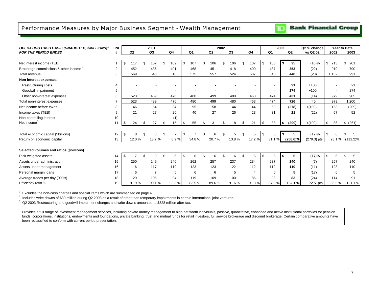## <span id="page-8-0"></span>Performance Measures by Major Business Segment - Wealth Management

## **Bank Financial Group**

| <b>OPERATING CASH BASIS (UNAUDITED, \$MILLIONS)</b> | LINE |                |     | 2001           |                |                          |           | 2002 |                          |     |        |                          | 2003 |             | Q2 % change | Year to Date |                     |
|-----------------------------------------------------|------|----------------|-----|----------------|----------------|--------------------------|-----------|------|--------------------------|-----|--------|--------------------------|------|-------------|-------------|--------------|---------------------|
| <b>FOR THE PERIOD ENDED</b>                         | #    | Q <sub>2</sub> |     | Q <sub>3</sub> | Q4             | Q1                       | Q2        |      | Q3                       |     | Q4     | Q <sub>1</sub>           |      | Q2          | vs Q2 02    | 2002         | 2003                |
|                                                     |      |                |     |                |                |                          |           |      |                          |     |        |                          |      |             |             |              |                     |
| Net interest income (TEB)                           |      | \$<br>117      | \$. | 107            | 109            | \$<br>107                | \$<br>106 |      | 106                      | \$. | 107    | \$<br>106                | -S   | 95          | $(10)\%$    | \$<br>213    | \$<br>201           |
| Brokerage commissions & other income <sup>2</sup>   | 2    | 452            |     | 436            | 401            | 468                      | 451       |      | 418                      |     | 400    | 437                      |      | 353         | (22)        | 919          | 790                 |
| Total revenue                                       | 3    | 569            |     | 543            | 510            | 575                      | 557       |      | 524                      |     | 507    | 543                      |      | 448         | (20)        | 1,132        | 991                 |
| Non interest expenses                               |      |                |     |                |                |                          |           |      |                          |     |        |                          |      |             |             |              |                     |
| Restructuring costs                                 | 4    |                |     |                | $\overline{a}$ |                          |           |      |                          |     |        | $\overline{\phantom{a}}$ |      | 21          | $+100$      |              | 21                  |
| Goodwill impairment                                 | 5    |                |     |                |                |                          |           |      |                          |     |        | $\overline{\phantom{a}}$ |      | 274         | $+100$      |              | 274                 |
| Other non-interest expenses                         | 6    | 523            |     | 489            | 476            | 480                      | 499       |      | 480                      |     | 463    | 474                      |      | 431         | (14)        | 979          | 905                 |
| Total non-interest expenses                         |      | 523            |     | 489            | 476            | 480                      | 499       |      | 480                      |     | 463    | 474                      |      | 726         | 45          | 979          | 1,200               |
| Net income before taxes                             | 8    | 46             |     | 54             | 34             | 95                       | 58        |      | 44                       |     | 44     | 69                       |      | (278)       | $+(100)$    | 153          | (209)               |
| Income taxes (TEB)                                  | 9    | 21             |     | 27             | 20             | 40                       | 27        |      | 26                       |     | 23     | 31                       |      | 21          | (22)        | 67           | 52                  |
| Non-controlling interest                            | 10   |                |     |                | (1)            | $\overline{\phantom{0}}$ |           |      | $\overline{\phantom{a}}$ |     |        | $\overline{\phantom{a}}$ |      | ۰           |             |              |                     |
| Net income <sup>3</sup>                             | 11   | \$<br>24       | \$  | 27             | \$<br>15       | \$<br>55                 | \$<br>31  | \$   | 18                       | \$  | 21     | \$<br>38                 | \$   | (299)       | $+(100)$    | \$<br>86     | \$ (261)            |
|                                                     |      |                |     |                |                |                          |           |      |                          |     |        |                          |      |             |             |              |                     |
| Total economic capital (\$billions)                 | 12   | \$             |     | 8.             | .7             | \$                       |           |      | 5                        | \$  | $.5\,$ | \$<br>$.5\,$             | Ŝ.   | $.5\,$      | (17)%       | \$           | \$<br>.5            |
| Return on economic capital                          | 13   | 12.0%          |     | 13.7%          | 8.9%           | 34.8%                    | 20.7%     |      | 13.8%                    |     | 17.2%  | 31.1%                    |      | $(258.6)\%$ | (279.3) pts | 28.1 %       | $(111.2)\%$         |
|                                                     |      |                |     |                |                |                          |           |      |                          |     |        |                          |      |             |             |              |                     |
| Selected volumes and ratios (\$billions)            |      |                |     |                |                |                          |           |      |                          |     |        |                          |      |             |             |              |                     |
| Risk-weighted assets                                | 14   | \$             | \$  | 9              | 6              | \$<br>6                  | \$<br>6   | \$   | 6                        | \$  | 6      | \$<br>5                  | S    | 5           | (17)%       | \$<br>6      | $\mathfrak{L}$<br>5 |
| Assets under administration                         | 15   | 250            |     | 249            | 240            | 262                      | 257       |      | 237                      |     | 234    | 237                      |      | 240         | (7)         | 257          | 240                 |
| Assets under management                             | 16   | 116            |     | 117            | 119            | 123                      | 123       |      | 122                      |     | 112    | 112                      |      | 110         | (11)        | 123          | 110                 |
| Personal margin loans                               | 17   | 6              |     | $\overline{7}$ | 5              | 6                        | 6         |      | 5                        |     | 4      | 5                        |      | 5           | (17)        | 6            | 5                   |
| Average trades per day (000's)                      | 18   | 129            |     | 105            | 94             | 119                      | 109       |      | 100                      |     | 86     | 98                       |      | 83          | (24)        | 114          | 91                  |
| Efficiency ratio %                                  | 19   | 91.9%          |     | 90.1%          | 93.3%          | 83.5%                    | 89.6%     |      | 91.6%                    |     | 91.3%  | 87.3%                    |      | 162.1 %     | 72.5 pts    | 86.5%        | 121.1 %             |

 $1$  Excludes the non-cash charges and special items which are summarized on page 4.

2 Includes write downs of \$39 million during Q2 2003 as a result of other than temporary impairments in certain international joint ventures.

<sup>3</sup> Q2 2003 Restructuring and goodwill impairment charges and write downs amounted to \$328 million after-tax.

Provides a full range of investment management services, including private money management to high net worth individuals, passive, quantitative, enhanced and active institutional portfolios for pension funds, corporations, institutions, endowments and foundations, private banking, trust and mutual funds for retail investors, full service brokerage and discount brokerage. Certain comparative amounts have been reclassified to conform with current period presentation.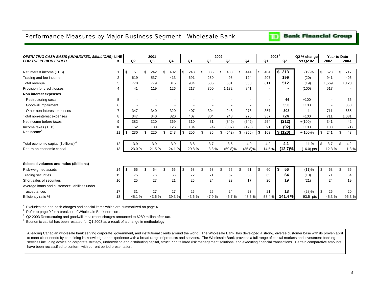## <span id="page-9-0"></span>Performance Measures by Major Business Segment - Wholesale Bank

| <b>OPERATING CASH BASIS (UNAUDITED, \$MILLIONS) LINE</b> |                |                      | 2001           |                |                |           | 2002 |                |              |                | $2003^2$                 |          | Q2 % change  | <b>Year to Date</b> |           |
|----------------------------------------------------------|----------------|----------------------|----------------|----------------|----------------|-----------|------|----------------|--------------|----------------|--------------------------|----------|--------------|---------------------|-----------|
| <b>FOR THE PERIOD ENDED</b>                              |                | Q2                   | Q <sub>3</sub> | Q <sub>4</sub> | Q <sub>1</sub> | Q2        |      | Q <sub>3</sub> |              | Q <sub>4</sub> | Q <sub>1</sub>           | Q2       | vs Q2 02     | 2002                | 2003      |
|                                                          |                |                      |                |                |                |           |      |                |              |                |                          |          |              |                     |           |
| Net interest income (TEB)                                |                | \$<br>151            | \$<br>242      | \$<br>402      | \$<br>243      | \$<br>385 | \$   | 433            | \$.          | 444            | \$<br>404                | \$313    | (19)%        | \$<br>628           | \$<br>717 |
| Trading and fee income                                   | $\overline{2}$ | 619                  | 537            | 413            | 691            | 250       |      | 98             |              | 124            | 207                      | 199      | (20)         | 941                 | 406       |
| Total revenue                                            | 3              | 770                  | 779            | 815            | 934            | 635       |      | 531            |              | 568            | 611                      | 512      | (19)         | 1,569               | 1,123     |
| Provision for credit losses                              | 4              | 41                   | 119            | 126            | 217            | 300       |      | 1,132          |              | 841            |                          | ٠        | (100)        | 517                 |           |
| Non interest expenses                                    |                |                      |                |                |                |           |      |                |              |                |                          |          |              |                     |           |
| Restructuring costs                                      | 5              |                      |                |                |                |           |      |                |              |                |                          | 66       | $+100$       |                     | 66        |
| Goodwill impairment                                      | 6              |                      |                |                |                |           |      |                |              |                | $\overline{\phantom{a}}$ | 350      | $+100$       |                     | 350       |
| Other non-interest expenses                              | $\overline{7}$ | 347                  | 340            | 320            | 407            | 304       |      | 248            |              | 276            | 357                      | 308      |              | 711                 | 665       |
| Total non-interest expenses                              | 8              | 347                  | 340            | 320            | 407            | 304       |      | 248            |              | 276            | 357                      | 724      | $+100$       | 711                 | 1,081     |
| Net income before taxes                                  | 9              | 382                  | 320            | 369            | 310            | 31        |      | (849)          |              | (549)          | 254                      | (212)    | $+(100)$     | 341                 | 42        |
| Income taxes (TEB)                                       | 10             | 152                  | 100            | 126            | 104            | (4)       |      | (307)          |              | (193)          | 91                       | (92)     | $+100$       | 100                 | (1)       |
| Net income <sup>3</sup>                                  | 11             | $\mathfrak s$<br>230 | \$<br>220      | \$<br>243      | \$<br>206      | \$<br>35  | \$   | (542)          | \$           | (356)          | \$<br>163                | \$ (120) | $+(100)\%$   | \$<br>241           | \$<br>43  |
|                                                          |                |                      |                |                |                |           |      |                |              |                |                          |          |              |                     |           |
| Total economic capital (\$billions) <sup>4</sup>         | 12             | 3.9                  | 3.9            | 3.9            | 3.8            | 3.7       |      | 3.6            |              | 4.0            | 4.2                      | 4.1      | 11 %         | \$<br>3.7           | \$<br>4.2 |
| Return on economic capital                               | 13             | 23.0%                | 21.5 %         | 24.1%          | 20.8%          | 3.3%      |      | $(59.8)\%$     |              | $(35.8)\%$     | 14.5 %                   | (12.7)%  | $(16.0)$ pts | 12.3%               | 1.3%      |
|                                                          |                |                      |                |                |                |           |      |                |              |                |                          |          |              |                     |           |
| Selected volumes and ratios (\$billions)                 |                |                      |                |                |                |           |      |                |              |                |                          |          |              |                     |           |
| Risk-weighted assets                                     | 14             | \$<br>66             | \$<br>64       | \$<br>66       | \$<br>63       | \$<br>63  | \$   | 65             | $\mathbf{f}$ | 61             | \$<br>60                 | \$<br>56 | (11)%        | \$<br>63            | \$<br>56  |
| <b>Trading securities</b>                                | 15             | 75                   | 76             | 66             | 72             | 71        |      | 67             |              | 53             | 65                       | 64       | (10)         | 71                  | 64        |
| Short sales of securities                                | 16             | 25                   | 27             | 21             | 26             | 24        |      | 23             |              | 17             | 20                       | 19       | (21)         | 24                  | 19        |
| Average loans and customers' liabilities under           |                |                      |                |                |                |           |      |                |              |                |                          |          |              |                     |           |
| acceptances                                              | 17             | 31                   | 27             | 27             | 26             | 25        |      | 24             |              | 23             | 21                       | 18       | (28)%        | \$<br>26            | 20        |
| Efficiency ratio %                                       | 18             | 45.1 %               | 43.6 %         | 39.3 %         | 43.6%          | 47.9%     |      | 46.7%          |              | 48.6%          | 58.4 %                   | 141.4 %  | 93.5 pts     | 45.3%               | 96.3%     |

 $1$  Excludes the non-cash charges and special items which are summarized on page 4.

<sup>2</sup> Refer to page 9 for a breakout of Wholesale Bank non-core.

<sup>3</sup> Q2 2003 Restructuring and goodwill impairment charges amounted to \$289 million after-tax.

4 Economic capital has been restated for Q1 2003 as a result of a change in methodology.

A leading Canadian wholesale bank serving corporate, government, and institutional clients around the world. The Wholesale Bank has developed a strong, diverse customer base with its proven abilit to meet client needs by combining its knowledge and experience with a broad range of products and services. The Wholesale Bank provides a full range of capital markets and investment banking services including advice on corporate strategy, underwriting and distributing capital, structuring tailored risk management solutions, and executing financial transactions. Certain comparative amounts have been reclassified to conform with current period presentation.

**Bank Financial Group** 

 $\mathbf{D}$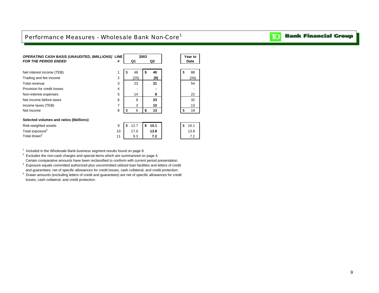## <span id="page-10-0"></span>Performance Measures - Wholesale Bank Non-Core<sup>1</sup>

| <b>OPERATING CASH BASIS (UNAUDITED, \$MILLIONS) LINE</b> |                |            | 2003 |      |    | Year to     |
|----------------------------------------------------------|----------------|------------|------|------|----|-------------|
| <b>FOR THE PERIOD ENDED</b>                              | #              | Q1         |      | Q2   |    | <b>Date</b> |
|                                                          |                |            |      |      |    |             |
| Net interest income (TEB)                                | 1              | \$<br>48   | \$   | 40   | \$ | 88          |
| Trading and fee income                                   | $\overline{2}$ | (25)       |      | (9)  |    | (34)        |
| Total revenue                                            | 3              | 23         |      | 31   |    | 54          |
| Provision for credit losses                              | 4              |            |      |      |    |             |
| Non-interest expenses                                    | 5              | 14         |      | 8    |    | 22          |
| Net income before taxes                                  | 6              | 9          |      | 23   |    | 32          |
| Income taxes (TEB)                                       | $\overline{7}$ | 3          |      | 10   |    | 13          |
| Net income                                               | 8              | \$<br>6    | \$   | 13   | \$ | 19          |
|                                                          |                |            |      |      |    |             |
| Selected volumes and ratios (\$billions)                 |                |            |      |      |    |             |
| Risk-weighted assets                                     | 9              | \$<br>12.7 | \$   | 10.1 | \$ | 10.1        |
| Total exposure <sup>3</sup>                              | 10             | 17.0       |      | 13.8 |    | 13.8        |
| Total drawn <sup>4</sup>                                 | 11             | 9.3        |      | 7.2  |    | 7.2         |
|                                                          |                |            |      |      |    |             |

 $1$  Included in the Wholesale Bank business segment results found on page 8.

 $2 \text{}$  Excludes the non-cash charges and special items which are summarized on page 4.

Certain comparative amounts have been reclassified to conform with current period presentation.

<sup>3</sup> Exposure equals committed authorized plus uncommitted utilized loan facilities and letters of credit and guarantees; net of specific allowances for credit losses, cash collateral, and credit protection.

4 Drawn amounts (excluding letters of credit and guarantees) are net of specific allowances for credit losses, cash collateral, and credit protection.

#### **Bank Financial Group** וסד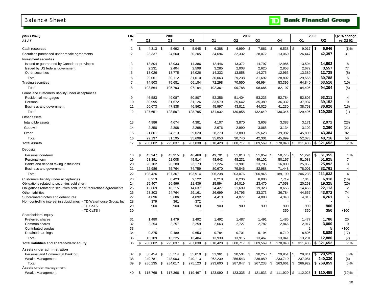## Balance Sheet

<span id="page-11-0"></span>

| <b>Balance Sheet</b>                             |             |                  |         |                |                    |          |         | ID             | <b>Bank Financial Group</b> |                |             |
|--------------------------------------------------|-------------|------------------|---------|----------------|--------------------|----------|---------|----------------|-----------------------------|----------------|-------------|
| (\$MILLIONS)                                     | <b>LINE</b> |                  | 2001    |                |                    | 2002     |         |                | 2003                        |                | Q2 % change |
| AS AT                                            | #           | Q <sub>2</sub>   | Q3      | Q <sub>4</sub> | Q1                 | Q2       | Q3      | Q <sub>4</sub> | Q1                          | Q <sub>2</sub> | vs Q2 02    |
| Cash resources                                   |             | \$<br>$4,313$ \$ | 5,692   | 5,945<br>- \$  | l \$<br>$6,388$ \$ | 6,999 \$ | 7,861   | - \$<br>6,538  | \$<br>9,017                 | l \$<br>6,946  | (1)%        |
| Securities purchased under resale agreements     | 2           | 23,337           | 24,560  | 20,205         | 34,694             | 32,332   | 28,072  | 13,060         | 26,447                      | 42,397         | 31          |
| <b>Investment securities</b>                     |             |                  |         |                |                    |          |         |                |                             |                |             |
| Issued or guaranteed by Canada or provinces      | 3           | 13,804           | 13,933  | 14,386         | 12,446             | 13,372   | 14,797  | 12,986         | 13,504                      | 14,503         | 8           |
| Issued by US federal government                  |             | 2,231            | 2,404   | 2,598          | 3,285              | 2,008    | 2,620   | 2,853          | 2,672                       | 3,557          | 77          |
| Other securities                                 |             | 13,026           | 13,775  | 14,026         | 14,332             | 13,858   | 14,275  | 12,963         | 13,389                      | 12,728         | (8)         |
| Total                                            | 6           | 29,061           | 30,112  | 31,010         | 30,063             | 29,238   | 31,692  | 28,802         | 29,565                      | 30,788         | 5           |
| Trading securities                               |             | 74,503           | 75,681  | 66,184         | 72,298             | 70,550   | 66,994  | 53,395         | 64,840                      | 63,516         | (10)        |
| Total                                            | 8           | 103,564          | 105,793 | 97,194         | 102,361            | 99,788   | 98,686  | 82,197         | 94,405                      | 94,304         | (5)         |
| Loans and customers' liability under acceptances |             |                  |         |                |                    |          |         |                |                             |                |             |
| Residential mortgages                            | 9           | 46,583           | 49,087  | 50,807         | 52,356             | 51,404   | 53,235  | 52,784         | 52,806                      | 53,311         |             |
| Personal                                         | 10          | 30,995           | 31,672  | 31,126         | 33,579             | 35,642   | 35,389  | 36,332         | 37,937                      | 39,152         | 10          |
| Business and government                          | 11          | 50,073           | 47,838  | 46,862         | 45,997             | 43,812   | 44,025  | 41,230         | 38,753                      | 36,826         | (16)        |
| Total                                            | 12          | 127,651          | 128,597 | 128,795        | 131,932            | 130,858  | 132,649 | 130,346        | 129,496                     | 129,289        | (1)         |
| Other assets                                     |             |                  |         |                |                    |          |         |                |                             |                |             |
| Intangible assets                                | 13          | 4,986            | 4,674   | 4,381          | 4,107              | 3,870    | 3,608   | 3,383          | 3,171                       | 2,972          | (23)        |
| Goodwill                                         | 14          | 2,350            | 2,308   | 2,298          | 2,676              | 2,990    | 3,065   | 3,134          | 3,102                       | 2,360          | (21)        |

| Total               | 29.137                              | 31.195  | 35.699     | 35,053  | 30,740     | 42,301  | 45.899 | 52.073 | 48.716                            | 58  |
|---------------------|-------------------------------------|---------|------------|---------|------------|---------|--------|--------|-----------------------------------|-----|
| <b>Total assets</b> | 288.002<br>$\overline{\phantom{a}}$ | 295.837 | 287.838 \$ | 310.428 | 300.717 \$ | 309,569 |        |        | 278,040   \$ 311,438   \$ 321,652 | 7 % |

Other assets

| Deposits                                                             |    |              |     |           |              |                 |           |      |                          |     |             |         |      |                    |        |
|----------------------------------------------------------------------|----|--------------|-----|-----------|--------------|-----------------|-----------|------|--------------------------|-----|-------------|---------|------|--------------------|--------|
| Personal non-term                                                    | 18 | \$<br>43,947 | -\$ | 43,315 \$ | 46,468       | \$<br>49,701 \$ | 51,018 \$ |      | 51,059 \$                |     | $50,775$ \$ | 51,294  | l \$ | 51,355             | 1%     |
| Personal term                                                        | 19 | 53,391       |     | 52,008    | 49,514       | 48,643          | 48,231    |      | 49,102                   |     | 50,167      | 51,088  |      | 51,825             |        |
| Banks and deposit taking institutions                                | 20 | 28,102       |     | 26,280    | 23,173       | 27,224          | 23,981    |      | 23,796                   |     | 16,800      | 25,855  |      | 25,892             | 8      |
| Business and government                                              | 21 | 72,986       |     | 75,764    | 74,759       | 80,670          | 79,846    |      | 82,988                   |     | 71,448      | 78,001  |      | 82,761             |        |
| Total                                                                | 22 | 198,426      |     | 197,367   | 193,914      | 206,238         | 203,076   |      | 206,945                  |     | 189,190     | 206,238 |      | 211,833            | Δ      |
| Customers' liability under acceptances                               | 23 | 8,913        |     | 8,423     | 9,122        | 8,218           | 8,236     |      | 8,006                    |     | 7,719       | 7,048   |      | 6,918              | (16)   |
| Obligations related to securities sold short                         | 24 | 25,407       |     | 26,996    | 21,436       | 25,594          | 24,019    |      | 23,470                   |     | 17,058      | 20,263  |      | 19,325             | (20)   |
| Obligations related to securities sold under repurchase agreements   | 25 | 12,669       |     | 18,115    | 14,637       | 24,427          | 21,699    |      | 19,328                   |     | 8,655       | 14,463  |      | 22,113             | 2      |
| Other liabilities                                                    | 26 | 23,303       |     | 24,764    | 29,161       | 26,699          | 24,795    |      | 33,373                   |     | 36,784      | 44,657  |      | 43,072             | 74     |
| Subordinated notes and debentures                                    | 27 | 4,896        |     | 5,686     | 4,892        | 4,413           | 4,077     |      | 4,080                    |     | 4,343       | 4,318   |      | 4,261              |        |
| Non-controlling interest in subsidiaries - TD Waterhouse Group, Inc. | 28 | 379          |     | 361       | 372          |                 |           |      |                          |     |             |         |      |                    |        |
| - TD CaTS                                                            | 29 | 900          |     | 900       | 900          | 900             | 900       |      | 900                      |     | 900         | 900     |      | 900                |        |
| - TD CaTS II                                                         | 30 |              |     |           |              |                 |           |      | $\overline{\phantom{a}}$ |     | 350         | 350     |      | 350                | $+100$ |
| Shareholders' equity                                                 |    |              |     |           |              |                 |           |      |                          |     |             |         |      |                    |        |
| Preferred shares                                                     | 31 | 1,480        |     | 1,479     | 1,492        | 1,492           | 1,487     |      | 1,491                    |     | 1,485       | 1,477   |      | 1,786              | 20     |
| Common shares                                                        | 32 | 2,254        |     | 2,257     | 2,259        | 2,663           | 2,727     |      | 2,782                    |     | 2,846       | 2,917   |      | 3,000              | 10     |
| Contributed surplus                                                  | 33 |              |     |           |              |                 |           |      |                          |     |             | 2       |      | 5                  | $+100$ |
| Retained earnings                                                    | 34 | 9,375        |     | 9,489     | 9,653        | 9,784           | 9,701     |      | 9,194                    |     | 8,710       | 8,805   |      | 8,089              | (17)   |
| Total                                                                | 35 | 13,109       |     | 13,225    | 13,404       | 13,939          | 13,915    |      | 13,467                   |     | 13,041      | 13,201  |      | 12,880             | (7)    |
| Total liabilities and shareholders' equity                           | 36 | 288,002      | -\$ | 295,837   | $287,838$ \$ | 310,428         | 300,717   | - \$ | 309,569                  | -\$ | 278,040     | \$      |      | 311,438 \$ 321,652 | 7 %    |
| Assets under administration                                          |    |              |     |           |              |                 |           |      |                          |     |             |         |      |                    |        |

Other 15 21,801 24,213 29,020 28,270 23,880 35,628 39,382 45,800 **43,384** 82

| Personal and Commercial Banking | 37 | 36.454  | 35.114  | $35,010$ \ \$  | 31,361  | 30,504  | 30,253  | 29,951         | 29,841  |     | 29.529             | (3)%     |
|---------------------------------|----|---------|---------|----------------|---------|---------|---------|----------------|---------|-----|--------------------|----------|
| Wealth Management               | 38 | 249.781 | 248.903 | 240.113        | 262.239 | 256.543 | 236.980 | 233.710        | 237.081 |     | 240.330            | (6)      |
| Total                           | 39 | 286.235 | 284.017 | $275.123$ \ \$ | 293.600 | 287.047 | 267.233 | $263.661$ \ \$ | 266.922 | 1 S | 269.859            | $(6)$ %  |
| Assets under management         |    |         |         |                |         |         |         |                |         |     |                    |          |
| Wealth Management               | 40 | 15.768  | 17.366  | $19.467$ \$    | 123.090 | 123.335 | 121,833 | 111.920   ১    | 112.025 |     | $\sqrt{5}$ 110,455 | $(10)\%$ |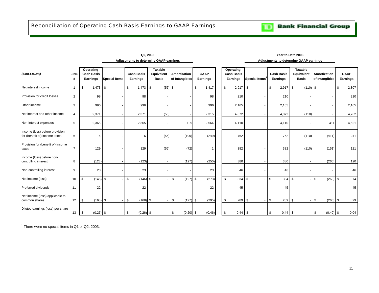<span id="page-12-0"></span>

|                                                                 |                  |                                            |                            | Adjustments to determine GAAP earnings |                                              |                                |                         |                                            |               |                               | Adjustments to determine GAAP earnings       |                                |                         |       |
|-----------------------------------------------------------------|------------------|--------------------------------------------|----------------------------|----------------------------------------|----------------------------------------------|--------------------------------|-------------------------|--------------------------------------------|---------------|-------------------------------|----------------------------------------------|--------------------------------|-------------------------|-------|
| (\$MILLIONS)                                                    | <b>LINE</b><br># | Operating<br><b>Cash Basis</b><br>Earnings | Special Items <sup>1</sup> | <b>Cash Basis</b><br>Earnings          | <b>Taxable</b><br>Equivalent<br><b>Basis</b> | Amortization<br>of Intangibles | <b>GAAP</b><br>Earnings | Operating<br><b>Cash Basis</b><br>Earnings | Special Items | <b>Cash Basis</b><br>Earnings | <b>Taxable</b><br>Equivalent<br><b>Basis</b> | Amortization<br>of Intangibles | <b>GAAP</b><br>Earnings |       |
| Net interest income                                             | $\overline{1}$   | $1,473$ \$<br>\$                           |                            | \$<br>$1,473$ \$                       | $(56)$ \$                                    |                                | \$<br>1,417             | $2,917$ \$<br>\$                           |               | $2,917$ \$<br>\$              | $(110)$ \$                                   |                                | \$                      | 2,807 |
| Provision for credit losses                                     | $\overline{2}$   | 98                                         |                            | 98                                     |                                              |                                | 98                      | 210                                        |               | 210                           |                                              |                                |                         | 210   |
| Other income                                                    | 3                | 996                                        |                            | 996                                    |                                              |                                | 996                     | 2,165                                      |               | 2,165                         |                                              |                                | 2,165                   |       |
| Net interest and other income                                   | $\overline{4}$   | 2,371                                      |                            | 2,371                                  | (56)                                         |                                | 2,315                   | 4,872                                      |               | 4,872                         | (110)                                        |                                | 4,762                   |       |
| Non-interest expenses                                           | 5                | 2,365                                      |                            | 2,365                                  | $\overline{a}$                               | 199                            | 2,564                   | 4,110                                      |               | 4,110                         |                                              | 411                            |                         | 4,521 |
| Income (loss) before provision<br>for (benefit of) income taxes | 6                | 6                                          |                            | 6                                      | (56)                                         | (199)                          | (249)                   | 762                                        |               | 762                           | (110)                                        | (411)                          |                         | 241   |
| Provision for (benefit of) income<br>taxes                      | $\overline{7}$   | 129                                        |                            | 129                                    | (56)                                         | (72)                           |                         | 382                                        |               | 382                           | (110)                                        | (151)                          |                         | 121   |
| Income (loss) before non-<br>controlling interest               | 8                | (123)                                      |                            | (123)                                  | $\sim$                                       | (127)                          | (250)                   | 380                                        |               | 380                           | $\sim$                                       | (260)                          |                         | 120   |
| Non-controlling interest                                        | 9                | 23                                         |                            | 23                                     |                                              |                                | 23                      | 46                                         |               | 46                            |                                              |                                |                         | 46    |
| Net income (loss)                                               | 10               | \$                                         | $(146)$ \$                 | $\mathbf{s}$<br>$(146)$ \$             | $\sim$                                       | (127)<br>- \$                  | (273)<br>\$             | 334<br>\$                                  | $\mathbb{S}$  | \$<br>334                     | \$                                           | (260)<br>$-5$                  | \$                      | 74    |
| Preferred dividends                                             | 11               | 22                                         |                            | 22                                     |                                              |                                | 22                      | 45                                         |               | 45                            |                                              |                                |                         | 45    |
| Net income (loss) applicable to<br>common shares                | 12               | \$                                         | $(168)$ \$                 | \$<br>$(168)$ \$                       | ٠                                            | \$<br>(127)                    | \$<br>(295)             | 289<br>\$                                  | \$            | 289<br>\$                     | \$                                           | (260)<br>\$                    | \$                      | 29    |
| Diluted earnings (loss) per share                               | 13               | <b>S</b><br>$(0.26)$ \$                    |                            | $-1$ \$<br>$(0.26)$ \$                 | $\sim$                                       | $(0.20)$ \$<br>- \$            | (0.46)                  | <b>S</b><br>$0.44$ \$                      |               | \$<br>$0.44$ \$               |                                              | \$<br>$(0.40)$ \$              |                         | 0.04  |

**Q2, 2003 Year to Date 2003**

 $<sup>1</sup>$  There were no special items in Q1 or Q2, 2003.</sup>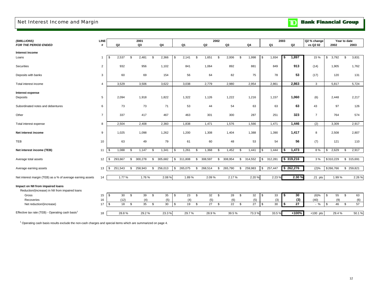## <span id="page-13-0"></span>Net Interest Income and Margin

|  | <b>Bank Financial Group</b> |  |
|--|-----------------------------|--|
|--|-----------------------------|--|

| (\$MILLIONS)                                                                         | LINE           |               |     | 2001    |               |    |         |      |                | 2002 |         |    |         |               | 2003 |           | Q2 % change    |     | Year to date |          |           |
|--------------------------------------------------------------------------------------|----------------|---------------|-----|---------|---------------|----|---------|------|----------------|------|---------|----|---------|---------------|------|-----------|----------------|-----|--------------|----------|-----------|
| FOR THE PERIOD ENDED                                                                 | #              | Q2            |     | Q3      | Q4            |    | Q1      |      | Q <sub>2</sub> |      | Q3      |    | Q4      | Q1            |      | Q2        | vs Q2 02       |     | 2002         |          | 2003      |
| Interest income                                                                      |                |               |     |         |               |    |         |      |                |      |         |    |         |               |      |           |                |     |              |          |           |
| Loans                                                                                | $\mathbf{1}$   | 2,537<br>\$   | \$. | 2,481   | \$<br>2,366   | S. | 2,141   | - \$ | 1,651          | \$   | 2,006   | S. | 1,998   | \$<br>1,934   | \$   | 1,897     | 15 %           | \$  | 3,792        | <b>S</b> | 3,831     |
| Securities                                                                           | $\overline{2}$ | 932           |     | 956     | 1,102         |    | 841     |      | 1,064          |      | 892     |    | 881     | 849           |      | 913       | (14)           |     | 1,905        |          | 1,762     |
| Deposits with banks                                                                  | 3              | 60            |     | 69      | 154           |    | 56      |      | 64             |      | 82      |    | 75      | 78            |      | 53        | (17)           |     | 120          |          | 131       |
| Total interest income                                                                | $\overline{4}$ | 3,529         |     | 3,506   | 3,622         |    | 3,038   |      | 2,779          |      | 2,980   |    | 2,954   | 2,861         |      | 2,863     | $\mathbf{3}$   |     | 5,817        |          | 5,724     |
| Interest expense                                                                     |                |               |     |         |               |    |         |      |                |      |         |    |         |               |      |           |                |     |              |          |           |
| Deposits                                                                             | 5              | 2,094         |     | 1,918   | 1,822         |    | 1,322   |      | 1,126          |      | 1,222   |    | 1,216   | 1,157         |      | 1,060     | (6)            |     | 2,448        |          | 2,217     |
| Subordinated notes and debentures                                                    | 6              | 73            |     | 73      | 71            |    | 53      |      | 44             |      | 54      |    | 63      | 63            |      | 63        | 43             |     | 97           |          | 126       |
| Other                                                                                | $\overline{7}$ | 337           |     | 417     | 467           |    | 463     |      | 301            |      | 300     |    | 287     | 251           |      | 323       | $\overline{7}$ |     | 764          |          | 574       |
| Total interest expense                                                               | 8              | 2,504         |     | 2,408   | 2,360         |    | 1,838   |      | 1,471          |      | 1,576   |    | 1,566   | 1,471         |      | 1,446     | (2)            |     | 3,309        |          | 2,917     |
| Net interest income                                                                  | 9              | 1,025         |     | 1,098   | 1,262         |    | 1,200   |      | 1,308          |      | 1,404   |    | 1,388   | 1,390         |      | 1,417     | 8              |     | 2,508        |          | 2,807     |
| TEB                                                                                  | 10             | 63            |     | 49      | 79            |    | 61      |      | 60             |      | 48      |    | 53      | 54            |      | 56        | (7)            |     | 121          |          | 110       |
| Net interest income (TEB)                                                            | 11             | 1,088<br>\$   | -\$ | 1,147   | \$<br>1,341   | S. | 1,261   | \$   | 1,368          | \$   | 1,452   | \$ | 1,441   | \$<br>1,444   | \$   | 1,473     | 8%             | -\$ | 2,629        | <b>S</b> | 2,917     |
| Average total assets                                                                 | 12             | \$<br>293,667 | \$  | 300,278 | \$<br>305,682 | \$ | 311,808 | \$   | 308,597        | \$   | 308,954 | \$ | 314,552 | \$<br>312,28' |      | \$319,216 | 3%             |     | \$310,229    |          | \$315,691 |
| Average earning assets                                                               | 13             | 251,543<br>\$ | \$  | 258,943 | \$<br>256,013 | \$ | 265,075 | \$   | 268,514        | \$   | 265,790 | \$ | 259,983 | \$<br>257,447 |      | \$262,276 | (2)%           |     | \$266,766    | \$       | 259,821   |
| Net interest margin (TEB) as a % of average earning assets                           | 14             | 1.77%         |     | 1.76%   | 2.08%         |    | 1.89%   |      | 2.09%          |      | 2.17%   |    | 2.20%   | 2.23%         |      | 2.30 %    | $.21$ pts      |     | 1.99%        |          | 2.26 %    |
| Impact on NII from impaired loans<br>Reduction/(increase) in NII from impaired loans |                |               |     |         |               |    |         |      |                |      |         |    |         |               |      |           |                |     |              |          |           |
| Gross                                                                                | 15             | \$<br>30      | \$  | 39      | \$<br>35      | \$ | 23      | \$   | 32             | \$   | 28      | \$ | 32      | \$<br>33      | - \$ | 30        | (6)%           | \$  | 55           | \$       | 63        |
| Recoveries                                                                           | 16             | (12)          |     | (4)     | (5)           |    | (4)     |      | (5)            |      | (6)     |    | (5)     | (3)           |      | (3)       | (40)           |     | (9)          |          | (6)       |
| Net reduction/(increase)                                                             | 17             | \$<br>18      | \$  | 35      | \$<br>30      | \$ | 19      | \$   | 27             | \$   | 22      | \$ | 27      | \$<br>30      | \$   | 27        | $-$ %          | \$  | 46           | \$       | 57        |
| Effective tax rate (TEB) - Operating cash basis <sup>1</sup>                         | 18             | 28.8%         |     | 29.2%   | 23.3%         |    | 29.7%   |      | 28.9%          |      | 39.5%   |    | 73.3%   | 33.5%         |      | $+100%$   | $+100$ pts     |     | 29.4%        |          | 50.1%     |

<sup>1</sup> Operating cash basis results exclude the non-cash charges and special items which are summarized on page 4.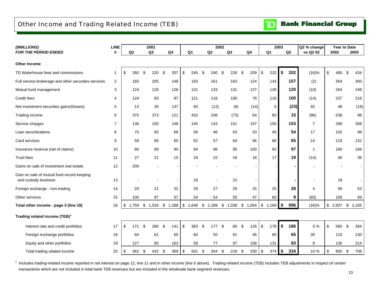## <span id="page-14-0"></span>Other Income and Trading Related Income (TEB)

| (\$MILLIONS)                                                       | LINE              |           | 2001                    |                |     |                           |                | 2002                 |                |            |                         |                | 2003 |      | Q2 % change    | Year to Date |     |         |
|--------------------------------------------------------------------|-------------------|-----------|-------------------------|----------------|-----|---------------------------|----------------|----------------------|----------------|------------|-------------------------|----------------|------|------|----------------|--------------|-----|---------|
| FOR THE PERIOD ENDED                                               | #                 | Q2        | Q3                      | Q <sub>4</sub> |     |                           | Q <sub>1</sub> | Q2                   | Q <sub>3</sub> | ${\bf Q4}$ |                         | Q <sub>1</sub> |      | Q2   | vs Q2 02       | 2002         |     | 2003    |
| <b>Other Income</b>                                                |                   |           |                         |                |     |                           |                |                      |                |            |                         |                |      |      |                |              |     |         |
| TD Waterhouse fees and commissions                                 | -1                | \$<br>260 | \$<br>220               | \$             | 207 | \$                        | 245            | \$<br>240            | \$<br>228      | \$<br>209  | \$                      | 232            | \$   | 202  | (16)%          | \$<br>485    | -\$ | 434     |
| Full service brokerage and other securities services               | 2                 | 165       | 205                     |                | 148 |                           | 193            | 161                  | 163            | 124        |                         | 143            |      | 157  | (2)            | 354          |     | 300     |
| Mutual fund management                                             | 3                 | 124       | 128                     |                | 128 |                           | 131            | 133                  | 131            | 127        |                         | 128            |      | 120  | (10)           | 264          |     | 248     |
| Credit fees                                                        | 4                 | 124       | 83                      |                | 87  |                           | 121            | 116                  | 100            | 78         |                         | 118            |      | 100  | (14)           | 237          |     | 218     |
| Net investment securities gains/(losses)                           | 5                 | 13        | 26                      |                | 137 |                           | 60             | (12)                 | (8)            | (14)       |                         | 5              |      | (23) | 92             | 48           |     | (18)    |
| Trading income                                                     | 6                 | 375       | 373                     |                | 121 |                           | 432            | 106                  | (73)           | 64         |                         | 83             |      | 15   | (86)           | 538          |     | 98      |
| Service charges                                                    | $\overline{7}$    | 136       | 150                     |                | 148 |                           | 145            | 143                  | 151            | 157        |                         | 155            |      | 153  | $\overline{7}$ | 288          |     | 308     |
| Loan securitizations                                               | 8                 | 70        | 65                      |                | 68  |                           | 56             | 46                   | 63             | 53         |                         | 45             |      | 54   | 17             | 102          |     | 99      |
| Card services                                                      | 9                 | 59        | 66                      |                | 60  |                           | 62             | 57                   | 64             | 66         |                         | 66             |      | 65   | 14             | 119          |     | 131     |
| Insurance revenue (net of claims)                                  | 10                | 86        | 89                      |                | 80  |                           | 84             | 96                   | 95             | 100        |                         | 92             |      | 97   | -1             | 180          |     | 189     |
| Trust fees                                                         | 11                | 27        | 21                      |                | 15  |                           | 18             | 22                   | 18             | 18         |                         | 17             |      | 19   | (14)           | 40           |     | 36      |
| Gains on sale of investment real estate                            | $12 \overline{ }$ | 200       |                         |                |     |                           |                |                      |                |            |                         |                |      |      |                |              |     |         |
| Gain on sale of mutual fund record keeping<br>and custody business | 13                |           |                         |                |     |                           | 18             |                      | 22             |            |                         |                |      |      | $\blacksquare$ | 18           |     |         |
| Foreign exchange - non-trading                                     | 14                | 20        | 21                      |                | 32  |                           | 29             | 27                   | 29             | 25         |                         | 25             |      | 28   | 4              | 56           |     | 53      |
| Other services                                                     | 15                | 100       | 87                      |                | 57  |                           | 54             | 54                   | 55             | 47         |                         | 60             |      | 9    | (83)           | 108          |     | 69      |
| Total other income - page 3 (line 18)                              | 16                | \$        | 1,759 \$ 1,534 \$ 1,288 |                |     |                           | \$1,648        | \$<br>1,189 \$ 1,038 |                | \$1,054    |                         | $$1,169$ \$    |      | 996  | (16)%          | \$<br>2,837  |     | \$2,165 |
| Trading related income (TEB) <sup>1</sup>                          |                   |           |                         |                |     |                           |                |                      |                |            |                         |                |      |      |                |              |     |         |
| Interest rate and credit portfolios                                | 17                | \$<br>171 | \$<br>286               | \$             | 141 | $\boldsymbol{\mathsf{S}}$ | 383            | \$<br>177            | \$<br>60       | \$<br>126  | $\sqrt[6]{\frac{1}{2}}$ | 178            | \$   | 186  | 5 %            | \$<br>560    | \$  | 364     |
| Foreign exchange portfolios                                        | 18                | 64        | 61                      |                | 65  |                           | 60             | 50                   | 61             | 46         |                         | 65             |      | 65   | 30             | 110          |     | 130     |
| Equity and other portfolios                                        | 19                | 127       | 85                      |                | 163 |                           | 58             | 77                   | 97             | 158        |                         | 131            |      | 83   | 8              | 135          |     | 214     |
| Total trading related income                                       | 20                | \$<br>362 | \$<br>432 \$            |                | 369 | \$                        | 501            | \$<br>304            | \$<br>$218$ \$ | 330        | \$                      | 374            | \$   | 334  | 10%            | \$<br>805    | \$  | 708     |

<sup>1</sup> Includes trading-related income reported in net interest on page 12, line 11 and in other income (line 6 above). Trading-related income (TEB) includes TEB adjustments in respect of certain transactions which are not included in total bank TEB revenues but are included in the wholesale bank segment revenues.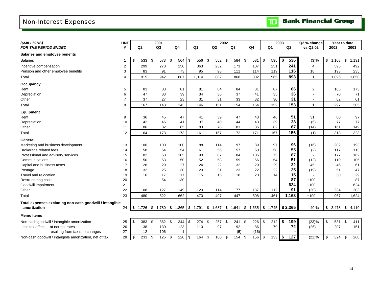## <span id="page-15-0"></span>Non-Interest Expenses

| (\$MILLIONS)                                            | <b>LINE</b>    |             | 2001              |     |                                                                         |                |                          | 2002                     |    |        |           |            |                | 2003 |       | Q2 % change              |             | Year to date |       |
|---------------------------------------------------------|----------------|-------------|-------------------|-----|-------------------------------------------------------------------------|----------------|--------------------------|--------------------------|----|--------|-----------|------------|----------------|------|-------|--------------------------|-------------|--------------|-------|
| <b>FOR THE PERIOD ENDED</b>                             | #              | Q2          |                   | Q3  | Q <sub>4</sub>                                                          | Q <sub>1</sub> |                          | Q2                       | Q3 |        | Q4        |            | Q <sub>1</sub> |      | Q2    | vs Q2 02                 | 2002        |              | 2003  |
| Salaries and employee benefits                          |                |             |                   |     |                                                                         |                |                          |                          |    |        |           |            |                |      |       |                          |             |              |       |
| <b>Salaries</b>                                         | 1              | \$<br>533   | \$                | 573 | - \$<br>564                                                             | $\sqrt{3}$     | 556 \$                   | 552 \$                   |    | 584    | \$<br>581 | <b>S</b>   | 595            | \$   | 536   | (3)%                     | \$<br>1,108 | \$           | 1,131 |
| Incentive compensation                                  | $\overline{2}$ | 299         |                   | 278 | 250                                                                     |                | 363                      | 232                      |    | 173    | 107       |            | 251            |      | 241   | $\overline{4}$           | 595         |              | 492   |
| Pension and other employee benefits                     | 3              | 83          |                   | 91  | 73                                                                      |                | 95                       | 98                       |    | 111    | 114       |            | 119            |      | 116   | 18                       | 193         |              | 235   |
| Total                                                   | 4              | 915         |                   | 942 | 887                                                                     |                | 1,014                    | 882                      |    | 868    | 802       |            | 965            |      | 893   | $\mathbf{1}$             | 1,896       |              | 1,858 |
| Occupancy                                               |                |             |                   |     |                                                                         |                |                          |                          |    |        |           |            |                |      |       |                          |             |              |       |
| Rent                                                    | 5              | 83          |                   | 83  | 81                                                                      |                | 81                       | 84                       |    | 84     | 81        |            | 87             |      | 86    | $\overline{2}$           | 165         |              | 173   |
| Depreciation                                            | 6              | 47          |                   | 33  | 39                                                                      |                | 34                       | 36                       |    | 37     | 41        |            | 35             |      | 36    |                          | 70          |              | 71    |
| Other                                                   | $\overline{7}$ | 37          |                   | 27  | 23                                                                      |                | 31                       | 31                       |    | 33     | 32        |            | 30             |      | 31    | $\overline{\phantom{a}}$ | 62          |              | 61    |
| Total                                                   | 8              | 167         |                   | 143 | 143                                                                     |                | 146                      | 151                      |    | 154    | 154       |            | 152            |      | 153   | $\mathbf{1}$             | 297         |              | 305   |
| <b>Equipment</b>                                        |                |             |                   |     |                                                                         |                |                          |                          |    |        |           |            |                |      |       |                          |             |              |       |
| Rent                                                    | 9              | 36          |                   | 45  | 47                                                                      |                | 41                       | 39                       |    | 47     | 43        |            | 46             |      | 51    | 31                       | 80          |              | 97    |
| Depreciation                                            | 10             | 42          |                   | 46  | 41                                                                      |                | 37                       | 40                       |    | 44     | 43        |            | 39             |      | 38    | (5)                      | 77          |              | 77    |
| Other                                                   | 11             | 86          |                   | 82  | 85                                                                      |                | 83                       | 78                       |    | 81     | 85        |            | 82             |      | 67    | (14)                     | 161         |              | 149   |
| Total                                                   | 12             | 164         |                   | 173 | 173                                                                     |                | 161                      | 157                      |    | 172    | 171       |            | 167            |      | 156   | (1)                      | 318         |              | 323   |
| General                                                 |                |             |                   |     |                                                                         |                |                          |                          |    |        |           |            |                |      |       |                          |             |              |       |
| Marketing and business development                      | 13             | 106         |                   | 100 | 100                                                                     |                | 88                       | 114                      |    | 97     | 89        |            | 97             |      | 96    | (16)                     | 202         |              | 193   |
| Brokerage related fees                                  | 14             | 58          |                   | 54  | 54                                                                      |                | 61                       | 56                       |    | 57     | 50        |            | 58             |      | 55    | (2)                      | 117         |              | 113   |
| Professional and advisory services                      | 15             | 82          |                   | 63  | 105                                                                     |                | 90                       | 87                       |    | 84     | 105       |            | 75             |      | 87    | $\sim$                   | 177         |              | 162   |
| Communications                                          | 16             | 50          |                   | 53  | 50                                                                      |                | 52                       | 58                       |    | 59     | 56        |            | 54             |      | 51    | (12)                     | 110         |              | 105   |
| Capital and business taxes                              | 17             | 28          |                   | 29  | 27                                                                      |                | 24                       | 22                       |    | 32     | 29        |            | 29             |      | 32    | 45                       | 46          |              | 61    |
| Postage                                                 | 18             | 32          |                   | 25  | 30                                                                      |                | 20                       | 31                       |    | 23     | 22        |            | 22             |      | 25    | (19)                     | 51          |              | 47    |
| Travel and relocation                                   | 19             | 16          |                   | 17  | 17                                                                      |                | 15                       | 15                       |    | 18     | 20        |            | 14             |      | 15    |                          | 30          |              | 29    |
| <b>Restructuring costs</b>                              | 20             |             |                   | 54  | 130                                                                     |                | $\overline{\phantom{a}}$ | $\overline{\phantom{a}}$ |    | $\sim$ |           |            |                |      | 87    | $+100$                   |             |              | 87    |
| Goodwill impairment                                     | 21             |             |                   |     |                                                                         |                |                          |                          |    |        |           |            |                |      | 624   | $+100$                   |             |              | 624   |
| Other                                                   | 22             | 108         |                   | 127 | 149                                                                     |                | 120                      | 114                      |    | 77     | 137       |            | 112            |      | 91    | (20)                     | 234         |              | 203   |
| Total                                                   | 23             | 480         |                   | 522 | 662                                                                     |                | 470                      | 497                      |    | 447    | 508       |            | 461            |      | 1,163 | $+100$                   | 967         |              | 1,624 |
| Total expenses excluding non-cash goodwill / intangible |                |             |                   |     |                                                                         |                |                          |                          |    |        |           |            |                |      |       |                          |             |              |       |
| amortization                                            | 24             | \$<br>1,726 |                   |     | $$1,780$ $$1,865$ $$1,791$ $$1,687$ $$1,641$ $$1,635$ $$1,745$ $$2,365$ |                |                          |                          |    |        |           |            |                |      |       | 40 %                     | \$<br>3.478 | \$           | 4,110 |
| <b>Memo Items</b>                                       |                |             |                   |     |                                                                         |                |                          |                          |    |        |           |            |                |      |       |                          |             |              |       |
| Non-cash goodwill / intangible amortization             | 25             | \$<br>383   | \$                | 362 | 344<br>\$                                                               | \$             | 274                      | \$<br>257                | \$ | 241    | \$<br>226 | $\sqrt{3}$ | 212            | \$   | 199   | (23)%                    | \$<br>531   | \$           | 411   |
| Less tax effect - at normal rates                       | 26             | 138         |                   | 130 | 123                                                                     |                | 110                      | 97                       |    | 92     | 86        |            | 79             |      | 72    | (26)                     | 207         |              | 151   |
| - resulting from tax rate changes                       | 27             | 12          |                   | 106 | $\overline{1}$                                                          |                |                          |                          |    | (5)    | (16)      |            |                |      |       |                          |             |              |       |
| Non-cash goodwill / intangible amortization, net of tax | 28             | \$<br>233   | $\boldsymbol{\$}$ | 126 | \$<br>220                                                               | $\sqrt[6]{3}$  | 164 \$                   | 160 \$                   |    | 154 \$ | $156$ \$  |            | $133$ \$       |      | 127   | (21)%                    | \$<br>324   | \$           | 260   |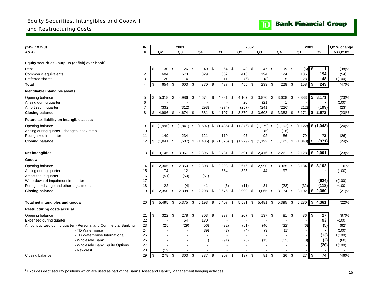<span id="page-16-0"></span>

| (\$MILLIONS)                                                     | <b>LINE</b>    |                    |     | 2001           |      |                |            |                | 2002                            |                |                |            |               |            |                | 2003          |                   | Q2 % change      |
|------------------------------------------------------------------|----------------|--------------------|-----|----------------|------|----------------|------------|----------------|---------------------------------|----------------|----------------|------------|---------------|------------|----------------|---------------|-------------------|------------------|
| AS AT                                                            | #              | Q <sub>2</sub>     |     | Q <sub>3</sub> |      | Q <sub>4</sub> |            | Q <sub>1</sub> | Q2                              |                | Q <sub>3</sub> |            | Q4            |            | Q <sub>1</sub> |               | Q <sub>2</sub>    | vs Q2 02         |
|                                                                  |                |                    |     |                |      |                |            |                |                                 |                |                |            |               |            |                |               |                   |                  |
| Equity securities - surplus (deficit) over book <sup>1</sup>     |                |                    |     |                |      |                |            |                |                                 |                |                |            |               |            |                |               |                   |                  |
| Debt                                                             | -1             | \$<br>30           | \$  | 26             | - \$ | 40             | \$         | 64             | \$<br>43                        | $\mathfrak{S}$ | 47             | \$         | 99            | \$         | (6)            | \$            | 1                 | (98)%            |
| Common & equivalents                                             | $\overline{2}$ | 604                |     | 573            |      | 329            |            | 362            | 418                             |                | 194            |            | 124           |            | 136            |               | 194               | (54)             |
| Preferred shares                                                 | 3              | 20                 |     | 4              |      | -1             |            | 11             | (6)                             |                | (8)            |            | 5             |            | 28             |               | 48                | $+(100)$         |
| <b>Total</b>                                                     | $\overline{4}$ | \$<br>654 \$       |     | 603 \$         |      | 370            | \$         | 437            | \$<br>455 \$                    |                | $233$ \$       |            | 228           | \$         | 158            | \$            | 243               | (47)%            |
| Identifiable intangible assets                                   |                |                    |     |                |      |                |            |                |                                 |                |                |            |               |            |                |               |                   |                  |
| Opening balance                                                  | 5              | \$<br>5,318        | \$  | 4,986          | \$   | 4,674          | \$         | 4,381          | \$<br>4.107                     | \$             | 3,870          | \$         | 3,608         | \$         | 3,383          | \$            | 3,171             | (23)%            |
| Arising during quarter                                           | 6              |                    |     |                |      |                |            |                | 20                              |                | (21)           |            | 1             |            |                |               |                   | (100)            |
| Amortized in quarter                                             | $\overline{7}$ | (332)              |     | (312)          |      | (293)          |            | (274)          | (257)                           |                | (241)          |            | (226)         |            | (212)          |               | (199)             | (23)             |
| <b>Closing balance</b>                                           | 8              | \$<br>4,986        | \$  | 4,674          | -\$  | 4,381          | \$         | 4,107          | \$<br>3,870                     | \$             | $3,608$ \$     |            | 3,383         | \$         | 3,171          | \$            | 2,972             | (23)%            |
| Future tax liability on intangible assets                        |                |                    |     |                |      |                |            |                |                                 |                |                |            |               |            |                |               |                   |                  |
| Opening balance                                                  | 9              | \$<br>,990)<br>(1) | \$  | (1, 841)       | \$   | (1,607)        | \$         | (1,486)        | \$<br>(1,376)                   | \$             | (1, 279)       | \$         | (1, 192)      | \$         | (1, 122)       |               | $\sqrt{$(1,043)}$ | (24)%            |
| Arising during quarter - changes in tax rates                    | 10             |                    |     |                |      |                |            |                |                                 |                | (5)            |            | (16)          |            |                |               |                   | $\overline{a}$   |
| Recognized in quarter                                            | 11             | 149                |     | 234            |      | 121            |            | 110            | 97                              |                | 92             |            | 86            |            | 79             |               | 72                | (26)             |
| <b>Closing balance</b>                                           | 12             | \$<br>(1, 841)     | \$  | $(1,607)$ \$   |      | $(1,486)$ \$   |            | $(1,376)$ \$   | (1, 279)                        | \$             | $(1, 192)$ \$  |            | $(1, 122)$ \$ |            | (1,043)        | \$            | (971)             | (24)%            |
|                                                                  |                |                    |     |                |      |                |            |                |                                 |                |                |            |               |            |                |               |                   |                  |
| Net intangibles                                                  | 13             | \$<br>3,145        | \$  | 3,067          | \$   | 2,895          | \$         | 2,731          | \$<br>2,591                     | \$             | 2,416          | \$         | 2,261         | \$         | 2,128          |               | \$2,001           | (23)%            |
| Goodwill                                                         |                |                    |     |                |      |                |            |                |                                 |                |                |            |               |            |                |               |                   |                  |
| Opening balance                                                  | 14             | \$<br>2,305        | \$  | 2,350          | \$   | 2,308          | \$         | 2,298          | \$<br>2,676                     | \$             | 2,990          | \$         | 3,065         | \$         | 3,134          | \$            | 3,102             | 16 %             |
| Arising during quarter                                           | 15             | 74                 |     | 12             |      |                |            | 384            | 325                             |                | 44             |            | 97            |            |                |               |                   | (100)            |
| Amortized in quarter                                             | 16             | (51)               |     | (50)           |      | (51)           |            |                |                                 |                |                |            |               |            |                |               |                   |                  |
| Write-down of impairment in quarter                              | 17             |                    |     |                |      |                |            |                |                                 |                |                |            |               |            |                |               | (624)             | $+(100)$         |
| Foreign exchange and other adjustments                           | 18             | 22                 |     | (4)            |      | 41             |            | (6)            | (11)                            |                | 31             |            | (28)          |            | (32)           |               | (118)             | $+100$           |
| <b>Closing balance</b>                                           | 19             | \$<br>2,350        | \$  | 2,308          | \$   | 2,298          | \$         | 2,676          | \$<br>2,990                     | \$             | 3,065          | $\sqrt{3}$ | 3,134         | $\sqrt{2}$ | 3,102          | $\frac{1}{2}$ | 2,360             | (21)%            |
|                                                                  |                |                    |     |                |      |                |            |                |                                 |                |                |            |               |            |                |               |                   |                  |
| Total net intangibles and goodwill                               | 20             | \$<br>5,495        | \$  | 5,375          | \$   | $5,193$ \$     |            | 5,407 \$       | 5,581                           | \$             | 5,481          | \$         | 5,395         | $\sqrt{3}$ | 5,230          |               | \$4,361           | (22)%            |
| <b>Restructuring costs accrual</b>                               |                |                    |     |                |      |                |            |                |                                 |                |                |            |               |            |                |               |                   |                  |
| Opening balance                                                  | 21             | \$<br>322 \$       |     | 278 \$         |      | 303            | \$         | 337 \$         | 207 \$                          |                | 137 \$         |            | 81            | \$         | 36             | \$            | 27                | (87)%            |
| Expensed during quarter                                          | 22             |                    |     | 54             |      | 130            |            |                |                                 |                |                |            |               |            |                |               | 93                | $+100$           |
| Amount utilized during quarter - Personal and Commercial Banking | 23             | (25)               |     | (29)           |      | (56)           |            | (32)           | (61)                            |                | (40)           |            | (32)          |            | (6)            |               | (5)               | (92)             |
| - TD Waterhouse                                                  | 24             |                    |     | $\sim$         |      | (39)           |            | (7)            | (4)                             |                | (3)            |            | (1)           |            |                |               |                   | (100)            |
| - TD Waterhouse International                                    | 25             |                    |     |                |      |                |            | $\blacksquare$ | $\overline{\phantom{a}}$        |                | $\sim$         |            |               |            |                |               | (13)              | $+(100)$         |
| - Wholesale Bank                                                 | 26<br>27       |                    |     |                |      | (1)            |            | (91)           | (5)<br>$\overline{\phantom{a}}$ |                | (13)           |            | (12)          |            | (3)            |               | (2)<br>(26)       | (60)<br>$+(100)$ |
| - Wholesale Bank Equity Options<br>- Newcrest                    | 28             | (19)               |     |                |      |                |            |                |                                 |                |                |            |               |            |                |               |                   |                  |
| Closing balance                                                  | 29             | \$<br>278          | -\$ | 303            | \$   | 337            | $\sqrt{3}$ | 207            | \$<br>137                       | \$             | 81             | \$         | 36            | \$         | 27             | \$            | 74                | (46)%            |

 $^1$  Excludes debt security positions which are used as part of the Bank's Asset and Liability Management hedging activities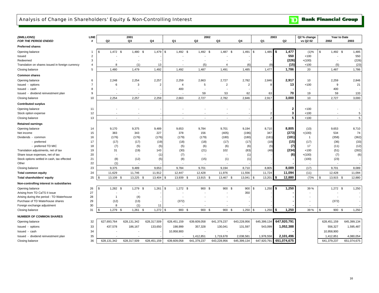

<span id="page-17-0"></span>

| (\$MILLIONS)                                     | LINE           |                      | 2001                     |                |                  |                          | 2002                     |                |                | 2003         | Q2 % change  |                  | Year to Date |
|--------------------------------------------------|----------------|----------------------|--------------------------|----------------|------------------|--------------------------|--------------------------|----------------|----------------|--------------|--------------|------------------|--------------|
| <b>FOR THE PERIOD ENDED</b>                      | #              | Q <sub>2</sub>       | Q3                       | Q4             | Q1               | Q <sub>2</sub>           | Q3                       | Q <sub>4</sub> | Q1             | Q2           | vs Q2 02     | 2002             | 2003         |
| <b>Preferred shares</b>                          |                |                      |                          |                |                  |                          |                          |                |                |              |              |                  |              |
| Opening balance                                  | -1             | 1,472<br>- \$<br>\$. | 1,480                    | 1,479<br>- \$  | 1,492<br>\$      | 1,492<br>\$              | 1,487<br>\$              | 1,491<br>\$    | 1,485<br>\$    | 1,477<br>\$  | (1)%         | \$<br>$1,492$ \$ | 1,485        |
| Issued                                           | $\overline{2}$ |                      |                          |                |                  |                          |                          |                |                | 550          | $+100$       |                  | 550          |
| Redeemed                                         | 3              |                      |                          |                |                  | $\overline{a}$           |                          |                |                | (226)        | $+(100)$     |                  | (226)        |
| Translation on shares issued in foreign currency | 4              | 8                    | (1)                      | 13             |                  | (5)                      | $\overline{4}$           | (6)            |                | (15)         | $+100$       | (5)              | (23)         |
| Closing balance                                  | 5              | 1,480                | 1,479                    | 1,492          | 1,492            | 1,487                    | 1,491                    | 1,485          | 1,477          | 1,786        | 20           | 1,487            | 1,786        |
| <b>Common shares</b>                             |                |                      |                          |                |                  |                          |                          |                |                |              |              |                  |              |
| Opening balance                                  | 6              | 2,248                | 2,254                    | 2,257          | 2,259            | 2,663                    | 2,727                    | 2,782          | 2,846          | 2,917        | 10           | 2,259            | 2,846        |
| Issued - options                                 | $\overline{7}$ | 6                    | 3                        | $\overline{2}$ | $\overline{4}$   | 5                        | $\overline{2}$           | $\overline{2}$ | 8              | 13           | $+100$       | 9                | 21           |
| Issued - cash                                    | 8              |                      |                          |                | 400              |                          |                          |                |                |              |              | 400              |              |
| Issued - dividend reinvestment plan              | 9              |                      |                          |                |                  | 59                       | 53                       | 62             | 63             | 70           | 19           | 59               | 133          |
| Closing balance                                  | 10             | 2,254                | 2,257                    | 2,259          | 2,663            | 2,727                    | 2,782                    | 2,846          | 2,917          | 3,000        | 10           | 2,727            | 3,000        |
| <b>Contributed surplus</b>                       |                |                      |                          |                |                  |                          |                          |                |                |              |              |                  |              |
| Opening balance                                  | 11             |                      |                          |                |                  |                          |                          |                |                | 2            | $+100$       |                  |              |
| Stock option expense                             | 12             |                      |                          |                |                  |                          |                          |                | 2              | 3            | $+100$       |                  | 5            |
| Closing balance                                  | 13             |                      | $\overline{\phantom{a}}$ |                | $\overline{a}$   | $\overline{\phantom{a}}$ | $\overline{a}$           |                | $\overline{2}$ | 5            | $+100$       |                  | 5            |
| <b>Retained earnings</b>                         |                |                      |                          |                |                  |                          |                          |                |                |              |              |                  |              |
| Opening balance                                  | 14             | 9,170                | 9,375                    | 9,489          | 9,653            | 9,784                    | 9,701                    | 9,194          | 8,710          | 8,805        | (10)         | 9,653            | 8,710        |
| Net income                                       | 15             | 383                  | 343                      | 227            | 378              | 156                      | (405)                    | (196)          | 347            | (273)        | $+(100)$     | 534              | 74           |
| Dividends - common                               | 16             | (176)                | (176)                    | (176)          | (179)            | (179)                    | (180)                    | (180)          | (181)          | (181)        | $\mathbf{1}$ | (358)            | (362)        |
| - preferred                                      | 17             | (17)                 | (17)                     | (19)           | (18)             | (18)                     | (17)                     | (17)           | (18)           | (15)         | (17)         | (36)             | (33)         |
| - preferred TD MIC                               | 18             | (7)                  | (5)                      | (5)            | (5)              | (6)                      | (6)                      | (6)            | (5)            | (7)          | 17           | (11)             | (12)         |
| Translation adjustments, net of tax              | 19             | 31                   | (19)                     | 143            | (30)             | (21)                     | 102                      | (83)           | (48)           | (234)        | $+100$       | (51)             | (282)        |
| Share issue expenses, net of tax                 | 20             |                      |                          | (1)            | (7)              |                          |                          | (1)            |                | (6)          | $+(100)$     | (7)              | (6)          |
| Stock options settled in cash, tax effected      | 21             | (8)                  | (12)                     | (5)            | (8)              | (15)                     | (1)                      | (1)            |                |              | (100)        | (23)             |              |
| Other                                            | 22             | (1)                  | $\overline{\phantom{a}}$ |                | $\overline{a}$   | $\overline{\phantom{a}}$ | $\overline{\phantom{a}}$ |                |                |              |              |                  |              |
| Closing balance                                  | 23             | 9,375                | 9,489                    | 9,653          | 9,784            | 9,701                    | 9,194                    | 8,710          | 8,805          | 8,089        | (17)         | 9,701            | 8,089        |
| <b>Total common equity</b>                       | 24             | 11,629               | 11,746                   | 11,912         | 12,447           | 12,428                   | 11,976                   | 11,556         | 11,724         | 11,094       | (11)         | 12,428           | 11,094       |
| Total shareholders' equity                       | 25             | 13,109<br>\$.        | 13,225<br>\$             | 13,404<br>- \$ | 13,939<br>\$     | 13,915<br>- \$           | 13,467<br>-\$            | 13,041<br>-\$  | \$<br>13,201   | \$<br>12,880 | (7)%         | \$<br>13,915 \$  | 12,880       |
| Non-controlling interest in subsidiaries         |                |                      |                          |                |                  |                          |                          |                |                |              |              |                  |              |
| Opening balance                                  | 26             | $1.282$ \$<br>\$     | 1,279 \$                 | 1,261          | $1.272$ \$<br>\$ | 900                      | 900 \$<br>- \$           | 900            | 1,250<br>\$    | 1,250<br>\$  | 39 %         | $1,272$ \$       | 1,250        |
| Arising from TD CaTS II issue                    | 27             |                      |                          |                |                  |                          |                          | 350            |                |              |              |                  |              |
| Arising during the period - TD Waterhouse        | 28             | $\mathbf{1}$         | (4)                      |                |                  |                          |                          |                |                |              |              |                  |              |
| Purchase of TD Waterhouse shares                 | 29             | (12)                 | (13)                     |                | (372)            |                          |                          |                |                |              |              | (372)            |              |
| Foreign exchange adjustment                      | 30             | 8                    | (1)                      | 11             |                  |                          |                          |                |                |              |              |                  |              |
| Closing balance                                  | 31             | $1,279$ \$<br>\$     | $1,261$ \$               | 1,272          | \$<br>900 \$     | 900 \$                   | 900 \$                   | 1,250          | 1,250<br>\$    | \$<br>1,250  | 39 %         | \$<br>900 \$     | 1,250        |
| <b>NUMBER OF COMMON SHARES</b>                   |                |                      |                          |                |                  |                          |                          |                |                |              |              |                  |              |
| Opening balance                                  | 32             | 627,693,764          | 628,131,342              | 628,317,509    | 628,451,159      | 639,609,058              | 641,379,237              | 643,228,956    | 645,399,134    | 647,920,791  |              | 628,451,159      | 645,399,134  |
| Issued - options                                 | 33             | 437,578              | 186,167                  | 133,650        | 198,999          | 357,328                  | 130,041                  | 131,597        | 543,099        | 1,052,388    |              | 556,327          | 1,595,487    |
| Issued - cash                                    | 34             |                      |                          |                | 10,958,900       |                          |                          |                |                |              |              | 10,958,900       |              |
| Issued - dividend reinvestment plan              | 35             |                      |                          |                |                  | 1,412,851                | 1,719,678                | 2,038,581      | 1,978,558      | 2,101,496    |              | 1,412,851        | 4,080,054    |
| Closing balance                                  | 36             | 628,131,342          | 628,317,509              | 628,451,159    | 639,609,058      | 641,379,237              | 643,228,956              | 645,399,134    | 647,920,791    | 651,074,675  |              | 641,379,237      | 651,074,675  |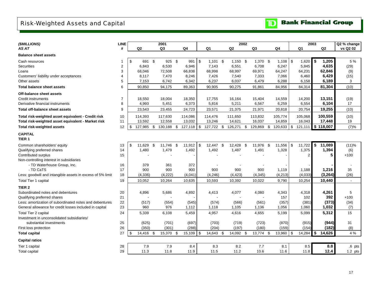## <span id="page-18-0"></span>Risk-Weighted Assets and Capital

| (\$MILLIONS)                                               | <b>LINE</b>    |             |                |                | 2001      |      |         |            |            |            | 2002 |                |      |              |                | 2003           |      |           | Q2 % change |
|------------------------------------------------------------|----------------|-------------|----------------|----------------|-----------|------|---------|------------|------------|------------|------|----------------|------|--------------|----------------|----------------|------|-----------|-------------|
| AS AT                                                      | #              |             | Q <sub>2</sub> |                | Q3        |      | Q4      |            | Q1         | Q2         |      | Q <sub>3</sub> |      | Q4           |                | Q1             |      | Q2        | vs Q2 02    |
| <b>Balance sheet assets</b>                                |                |             |                |                |           |      |         |            |            |            |      |                |      |              |                |                |      |           |             |
| Cash resources                                             |                | \$          | 691 \$         |                | 925 \$    |      | 991     | $\sqrt{3}$ | $1,101$ \$ | $1,150$ \$ |      | $1,370$ \$     |      |              |                | 1,620          | - \$ | 1,205     | 5 %         |
| <b>Securities</b>                                          | $\sqrt{2}$     |             | 6,843          |                | 6,530     |      | 6,946   |            | 7,143      | 6,551      |      | 6,708          |      | 6,247        |                | 5,845          |      | 4,635     | (29)        |
| Loans                                                      | 3              |             | 68,046         |                | 72,508    |      | 66,838  |            | 68,998     | 68,997     |      | 69,971         |      | 64,247       |                | 64,231         |      | 62,846    | (9)         |
| Customers' liability under acceptances                     | 4              |             | 8,117          |                | 7,470     |      | 8,246   |            | 7,426      | 7,540      |      | 7,333          |      | 7,066        |                | 6,460          |      | 6,429     | (15)        |
| Other assets                                               | 5              |             | 7,153          |                | 6,742     |      | 6,342   |            | 6,237      | 6,037      |      | 6,479          |      | 6,288        |                | 6,158          |      | 6,189     | 3           |
| <b>Total balance sheet assets</b>                          | 6              |             | 90,850         |                | 94,175    |      | 89,363  |            | 90,905     | 90,275     |      | 91,861         |      | 84,956       |                | 84,314         |      | 81,304    | (10)        |
| Off-balance sheet assets                                   |                |             |                |                |           |      |         |            |            |            |      |                |      |              |                |                |      |           |             |
| Credit instruments                                         | $\overline{7}$ |             | 18,550         |                | 18,004    |      | 18,350  |            | 17,755     | 16,164     |      | 15,404         |      | 14,559       |                | 14,200         |      | 13,151    | (19)        |
| Derivative financial instruments                           | 8              |             | 4,993          |                | 5,451     |      | 6,373   |            | 5,816      | 5,211      |      | 6,567          |      | 6,259        |                | 6,554          |      | 6,104     | 17          |
| <b>Total off-balance sheet assets</b>                      | 9              |             | 23,543         |                | 23,455    |      | 24,723  |            | 23,571     | 21,375     |      | 21,971         |      | 20,818       |                | 20,754         |      | 19,255    | (10)        |
| Total risk-weighted asset equivalent - Credit risk         | 10             |             | 114,393        |                | 117,630   |      | 114,086 |            | 114,476    | 111,650    |      | 113,832        |      | 105,774      |                | 105,068        |      | 100,559   | (10)        |
| Total risk-weighted asset equivalent - Market risk         | 11             |             | 13,592         |                | 12,558    |      | 13,032  |            | 13,246     | 14,621     |      | 16,037         |      | 14,859       |                | 16,043         |      | 17,448    | 19          |
| <b>Total risk-weighted assets</b>                          | 12             | \$          | 127,985 \$     |                | 130,188   | \$   | 127,118 | \$         | 127,722 \$ | 126,271    | \$   | 129,869        | \$   | $120,633$ \$ |                | 121,111        |      | \$118,007 | (7)%        |
| <b>CAPITAL</b><br>TIER <sub>1</sub>                        |                |             |                |                |           |      |         |            |            |            |      |                |      |              |                |                |      |           |             |
| Common shareholders' equity                                | 13             | $\mathbf S$ | 11.629         | $\mathfrak{S}$ | 11,746    | - \$ | 11,912  | \$         | 12,447 \$  | 12,428     | \$   | 11,976         | - \$ | 11,556       | $\mathfrak{S}$ | 11,722         | \$   | 11,089    | (11)%       |
| Qualifying preferred shares                                | 14             |             | 1,480          |                | 1,479     |      | 1,492   |            | 1,492      | 1,487      |      | 1,491          |      | 1,328        |                | 1,375          |      | 1,394     | (6)         |
| Contributed surplus                                        | 15             |             |                |                |           |      |         |            |            |            |      |                |      |              |                | $\overline{2}$ |      | 5         | $+100$      |
| Non-controlling interest in subsidiaries                   |                |             |                |                |           |      |         |            |            |            |      |                |      |              |                |                |      |           |             |
| - TD Waterhouse Group, Inc.                                | 16             |             | 379            |                | 361       |      | 372     |            |            |            |      |                |      |              |                |                |      |           |             |
| - TD CaTS                                                  | 17             |             | 900            |                | 900       |      | 900     |            | 900        | 900        |      | 900            |      | 1,119        |                | 1,188          |      | 1,216     | 35          |
| Less: goodwill and intangible assets in excess of 5% limit | 18             |             | (4, 336)       |                | (4,222)   |      | (4,041) |            | (4, 246)   | (4, 423)   |      | (4, 345)       |      | (4,213)      |                | (4,033)        |      | (3, 264)  | (26)        |
| <b>Total Tier 1 capital</b>                                | 19             |             | 10,052         |                | 10,264    |      | 10,635  |            | 10,593     | 10,392     |      | 10,022         |      | 9,790        |                | 10,254         |      | 10,440    |             |
| TIER <sub>2</sub>                                          |                |             |                |                |           |      |         |            |            |            |      |                |      |              |                |                |      |           |             |
| Subordinated notes and debentures                          | 20             |             | 4,896          |                | 5,686     |      | 4,892   |            | 4,413      | 4,077      |      | 4,080          |      | 4,343        |                | 4,318          |      | 4,261     | 5           |
| Qualifying preferred shares                                | 21             |             |                |                |           |      |         |            |            |            |      |                |      | 157          |                | 102            |      | 392       | $+100$      |
| Less: amortization of subordinated notes and debentures    | 22             |             | (517)          |                | (554)     |      | (545)   |            | (574)      | (566)      |      | (561)          |      | (357)        |                | (381)          |      | (373)     | (34)        |
| General allowance for credit losses included in capital    | 23             |             | 960            |                | 976       |      | 1,112   |            | 1,118      | 1,105      |      | 1,136          |      | 1,056        |                | 1,060          |      | 1,032     | (7)         |
| Total Tier 2 capital                                       | 24             |             | 5,339          |                | 6,108     |      | 5,459   |            | 4,957      | 4,616      |      | 4,655          |      | 5,199        |                | 5,099          |      | 5,312     | 15          |
| Investment in unconsolidated subsidiaries/                 |                |             |                |                |           |      |         |            |            |            |      |                |      |              |                |                |      |           |             |
| substantial investments                                    | 25             |             | (625)          |                | (701)     |      | (697)   |            | (703)      | (719)      |      | (723)          |      | (870)        |                | (915)          |      | (944)     | 31          |
| First loss protection                                      | 26             |             | (350)          |                | (301)     |      | (288)   |            | (204)      | (197)      |      | (180)          |      | (159)        |                | (154)          |      | (182)     | (8)         |
| <b>Total capital</b>                                       | 27             | \$          | 14,416         | - \$           | 15,370 \$ |      | 15,109  | \$         | 14,643 \$  | 14,092 \$  |      | 13,774 \$      |      | 13,960       | \$             | 14,284         | \$   | 14,626    | 4 %         |
| <b>Capital ratios</b>                                      |                |             |                |                |           |      |         |            |            |            |      |                |      |              |                |                |      |           |             |
| Tier 1 capital                                             | 28             |             | 7.9            |                | 7.9       |      | 8.4     |            | 8.3        | 8.2        |      | 7.7            |      | 8.1          |                | 8.5            |      | 8.8       | $.6$ pts    |
| <b>Total capital</b>                                       | 29             |             | 11.3           |                | 11.8      |      | 11.9    |            | 11.5       | 11.2       |      | 10.6           |      | 11.6         |                | 11.8           |      | 12.4      | $1.2$ pts   |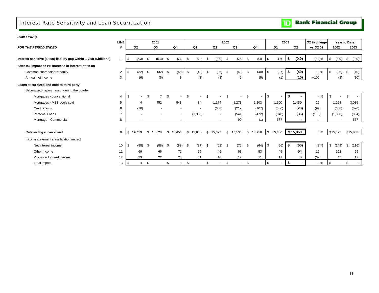## <span id="page-19-0"></span>Interest Rate Sensitivity and Loan Securitization

| <b>TD</b> Bank Financial Group |
|--------------------------------|
|--------------------------------|

| (\$MILLIONS)                                                        |                |      |                |          |           |      |                          |          |                          |    |                          |      |                |     |                          |                |        |            |                |              |                         |                          |              |
|---------------------------------------------------------------------|----------------|------|----------------|----------|-----------|------|--------------------------|----------|--------------------------|----|--------------------------|------|----------------|-----|--------------------------|----------------|--------|------------|----------------|--------------|-------------------------|--------------------------|--------------|
|                                                                     | <b>LINE</b>    |      |                |          | 2001      |      |                          | 2002     |                          |    |                          |      |                |     | 2003                     |                |        |            | Q2 % change    | Year to Date |                         |                          |              |
| <b>FOR THE PERIOD ENDED</b>                                         | #              |      | Q <sub>2</sub> |          | Q3        |      | Q4                       |          | Q1                       |    | Q <sub>2</sub>           |      | Q3             |     | Q4                       |                | Q1     |            | Q <sub>2</sub> | vs Q2 02     | 2002                    |                          | 2003         |
|                                                                     |                |      |                |          |           |      |                          |          |                          |    |                          |      |                |     |                          |                |        |            |                |              |                         |                          |              |
| Interest sensitive (asset) liability gap within 1 year (\$billions) |                | - \$ | (5.3)          | - \$     | (5.3)     | - \$ | 5.1                      | \$       | 5.4                      | \$ | (8.0)                    | - \$ | 5.5            | \$  | 8.0                      | \$             | 11.6   | \$         | (0.9)          | (89)%        | $\sqrt{3}$<br>(8.0)     |                          | \$<br>(0.9)  |
| After tax impact of 1% increase in interest rates on                |                |      |                |          |           |      |                          |          |                          |    |                          |      |                |     |                          |                |        |            |                |              |                         |                          |              |
| Common shareholders' equity                                         | 2              |      | (32)           | \$       | $(32)$ \$ |      | (45)                     | \$       | (43)                     | \$ | (36)                     | - \$ | (48)           | -\$ | (40)                     | \$             | (27)   | \$         | (40)           | 11 %         | \$                      | (36)                     | (40)<br>\$   |
| Annual net income                                                   | 3              |      | (6)            |          | (5)       |      | 3                        |          | (3)                      |    | (3)                      |      | $\overline{2}$ |     | (5)                      |                | (1)    |            | (10)           | $+100$       |                         | (3)                      | (10)         |
| Loans securitized and sold to third party                           |                |      |                |          |           |      |                          |          |                          |    |                          |      |                |     |                          |                |        |            |                |              |                         |                          |              |
| Securitized/(repurchased) during the quarter                        |                |      |                |          |           |      |                          |          |                          |    |                          |      |                |     |                          |                |        |            |                |              |                         |                          |              |
| Mortgages - conventional                                            | 4              |      |                | £.       |           |      |                          |          |                          |    |                          |      |                |     |                          | \$             | $\sim$ | \$         |                | $-$ %        |                         |                          |              |
| Mortgages - MBS pools sold                                          | 5              |      |                |          | 452       |      | 543                      |          | 84                       |    | 1,174                    |      | 1,273          |     | 1,203                    |                | 1,600  |            | 1,435          | 22           | 1,258                   |                          | 3,035        |
| <b>Credit Cards</b>                                                 | 6              |      | (10)           |          | $\sim$    |      | $\sim$                   |          | $\blacksquare$           |    | (668)                    |      | (219)          |     | (107)                    |                | (500)  |            | (20)           | (97)         | (668)                   |                          | (520)        |
| Personal Loans                                                      | $\overline{7}$ |      |                |          | ۰         |      | $\sim$                   |          | (1,300)                  |    | $\sim$                   |      | (541)          |     | (472)                    |                | (348)  |            | (36)           | $+(100)$     | (1,300)                 |                          | (384)        |
| Mortgage - Commercial                                               | 8              |      |                |          | ٠         |      | $\overline{\phantom{a}}$ |          | $\overline{\phantom{a}}$ |    | $\overline{\phantom{a}}$ |      | 90             |     | (1)                      |                | 577    |            |                |              |                         | $\overline{\phantom{a}}$ | 577          |
|                                                                     |                |      |                |          |           |      |                          |          |                          |    |                          |      |                |     |                          |                |        |            |                |              |                         |                          |              |
| Outstanding at period end                                           | 9              | - \$ | 19.459         |          | \$18,828  |      | \$18,456                 | \$15,888 |                          | \$ | 15,395                   | \$   | 15,136         | \$  | 14,916                   | \$             | 15,600 |            | \$15,858       | 3%           | \$15,395                |                          | \$15,858     |
| Income statement classification impact                              |                |      |                |          |           |      |                          |          |                          |    |                          |      |                |     |                          |                |        |            |                |              |                         |                          |              |
| Net interest income                                                 | 10             | - \$ | (88)           | <b>S</b> | $(88)$ \$ |      | (89)                     | \$       | (87)                     | \$ | (62)                     | - \$ | (75)           | -\$ | (64)                     | $\mathfrak{s}$ | (56)   | <b>S</b>   | (60)           | $(3)\%$      | $\mathfrak{S}$<br>(149) |                          | \$<br>(116)  |
| Other income                                                        | 11             |      | 69             |          | 66        |      | 72                       |          | 56                       |    | 46                       |      | 63             |     | 53                       |                | 45     |            | 54             | 17           | 102                     |                          | 99           |
| Provision for credit losses                                         | 12             |      | 23             |          | 22        |      | 20                       |          | 31                       |    | 16                       |      | 12             |     | 11                       |                | 11     |            | 6              | (62)         |                         | 47                       | 17           |
| Total impact                                                        | 13             | \$   | 4              | \$       | $\sim$    | \$   | 3                        | \$       | $\overline{\phantom{a}}$ | \$ | $\sim$                   | \$   | $\sim$         | \$  | $\overline{\phantom{a}}$ | \$             | $\sim$ | $\sqrt{5}$ |                | $-$ %        | <b>S</b>                | $\overline{\phantom{a}}$ | \$<br>$\sim$ |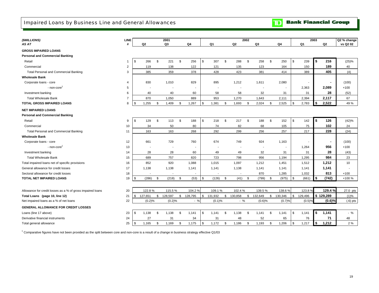<span id="page-20-0"></span>Impaired Loans by Business Line and General Allowances

#### **Bank Financial Group**  $\mathbf{D}$

| (\$MILLIONS)                                               | <b>LINE</b>    |               |                          |      | 2001      |               |    |                |               | 2002 |         |      |                          | 2003           |                | Q2 % change |
|------------------------------------------------------------|----------------|---------------|--------------------------|------|-----------|---------------|----|----------------|---------------|------|---------|------|--------------------------|----------------|----------------|-------------|
| AS AT                                                      | #              |               | Q2                       |      | Q3        | Q4            |    | Q <sub>1</sub> | Q2            |      | Q3      |      | Q4                       | Q <sub>1</sub> | Q <sub>2</sub> | vs Q2 02    |
| <b>GROSS IMPAIRED LOANS</b>                                |                |               |                          |      |           |               |    |                |               |      |         |      |                          |                |                |             |
| <b>Personal and Commercial Banking</b>                     |                |               |                          |      |           |               |    |                |               |      |         |      |                          |                |                |             |
| Retail                                                     | $\mathbf{1}$   | \$            | 266                      | \$   | 221       | \$<br>256     | \$ | 307            | \$<br>288     | \$   | 258     | \$   | 250                      | \$<br>239      | \$<br>216      | (25)%       |
| Commercial                                                 | $\overline{2}$ |               | 119                      |      | 138       | 122           |    | 121            | 135           |      | 123     |      | 164                      | 150            | 189            | 40          |
| <b>Total Personal and Commercial Banking</b>               | 3              |               | 385                      |      | 359       | 378           |    | 428            | 423           |      | 381     |      | 414                      | 389            | 405            | (4)         |
| <b>Wholesale Bank</b>                                      |                |               |                          |      |           |               |    |                |               |      |         |      |                          |                |                |             |
| Corporate loans - core                                     | 4              |               | 830                      |      | 1,010     | 829           |    | 895            | 1,212         |      | 1,611   |      | 2,080                    |                |                | (100)       |
| - non-core                                                 | 5              |               |                          |      |           |               |    |                |               |      |         |      | $\overline{\phantom{a}}$ | 2,363          | 2,089          | $+100$      |
| Investment banking                                         | 6              |               | 40                       |      | 40        | 60            |    | 58             | 58            |      | 32      |      | 31                       | 31             | 28             | (52)        |
| <b>Total Wholesale Bank</b>                                | $\overline{7}$ |               | 870                      |      | 1,050     | 889           |    | 953            | 1,270         |      | 1,643   |      | 2,111                    | 2,394          | 2,117          | 67          |
| <b>TOTAL GROSS IMPAIRED LOANS</b>                          | 8              | <sup>\$</sup> | 1,255                    | \$   | 1,409     | \$<br>1,267   | \$ | 1,381          | \$<br>1,693   | \$   | 2,024   | \$   | 2,525                    | \$<br>2,783    | \$<br>2,522    | 49 %        |
| <b>NET IMPAIRED LOANS</b>                                  |                |               |                          |      |           |               |    |                |               |      |         |      |                          |                |                |             |
| <b>Personal and Commercial Banking</b>                     |                |               |                          |      |           |               |    |                |               |      |         |      |                          |                |                |             |
| Retail                                                     | 9              | \$            | 129                      | \$   | 113       | \$<br>188     | \$ | 218            | \$<br>217     | \$   | 188     | \$   | 152                      | \$<br>142      | \$<br>126      | (42)%       |
| Commercial                                                 | 10             |               | 34                       |      | 50        | 80            |    | 74             | 82            |      | 68      |      | 105                      | 75             | 102            | 24          |
| <b>Total Personal and Commercial Banking</b>               | 11             |               | 163                      |      | 163       | 268           |    | 292            | 299           |      | 256     |      | 257                      | 217            | 228            | (24)        |
| <b>Wholesale Bank</b>                                      |                |               |                          |      |           |               |    |                |               |      |         |      |                          |                |                |             |
| Corporate loans - core                                     | 12             |               | 661                      |      | 729       | 760           |    | 674            | 749           |      | 924     |      | 1,163                    |                |                | (100)       |
| - non-core                                                 | 13             |               | $\overline{\phantom{a}}$ |      |           |               |    |                |               |      |         |      | $\overline{\phantom{a}}$ | 1,264          | 956            | $+100$      |
| Investment banking                                         | 14             |               | 28                       |      | 28        | 60            |    | 49             | 49            |      | 32      |      | 31                       | 31             | 28             | (43)        |
| <b>Total Wholesale Bank</b>                                | 15             |               | 689                      |      | 757       | 820           |    | 723            | 798           |      | 956     |      | 1,194                    | 1,295          | 984            | 23          |
| Total impaired loans net of specific provisions            | 16             |               | 852                      |      | 920       | 1,088         |    | 1,015          | 1,097         |      | 1.212   |      | 1,451                    | 1,512          | 1,212          | 10          |
| General allowance for credit losses                        | 17             |               | 1,138                    |      | 1,138     | 1,141         |    | 1,141          | 1,138         |      | 1.141   |      | 1,141                    | 1,141          | 1,141          |             |
| Sectoral allowance for credit losses                       | 18             |               |                          |      |           |               |    |                |               |      | 870     |      | 1,285                    | 1,032          | 813            | $+100$      |
| TOTAL NET IMPAIRED LOANS                                   | 19             | \$            | (286)                    | \$   | (218)     | \$<br>(53)    | \$ | (126)          | \$<br>(41)    | \$   | (799)   | \$   | (975)                    | \$<br>(661)    | \$<br>(742)    | +100 %      |
|                                                            |                |               |                          |      |           |               |    |                |               |      |         |      |                          |                |                |             |
| Allowance for credit losses as a % of gross impaired loans | 20             |               | 122.8%                   |      | 115.5%    | 104.2%        |    | 109.1%         | 102.4%        |      | 139.5%  |      | 138.6%                   | 123.8%         | 129.4 %        | 27.0 pts    |
| Total Loans (page 10, line 12)                             | 21             | \$            | 127,651                  |      | \$128,597 | \$<br>128,795 | \$ | 131,932        | \$<br>130,858 | \$   | 132,649 | \$   | 130,346                  | \$<br>129,496  | \$129,289      | (1)%        |
| Net impaired loans as a % of net loans                     | 22             |               | (0.2)%                   |      | (0.2)%    | $-$ %         |    | (0.1)%         | $-$ %         |      | (0.6)%  |      | (0.7)%                   | (0.5)%         | (0.6)%         | $(.6)$ pts  |
| <b>GENERAL ALLOWANCE FOR CREDIT LOSSES</b>                 |                |               |                          |      |           |               |    |                |               |      |         |      |                          |                |                |             |
| Loans (line 17 above)                                      | 23             | \$            | 1,138                    | - \$ | 1,138     | \$<br>1,141   | \$ | 1,141          | \$<br>1,138   | - \$ | 1,141   | - \$ | 1,141                    | \$<br>1,141    | 1,141          | $-$ %       |
| Derivative financial instruments                           | 24             |               | 27                       |      | 31        | 34            |    | 31             | 48            |      | 52      |      | 65                       | 76             | 71             | 48          |
| Total general allowance                                    | 25             | \$            | 1,165                    | -S   | 1,169     | \$<br>1,175   | -S | 1,172          | \$<br>1,186   | \$   | 1,193   | \$   | 1,206                    | \$<br>1,217    | \$<br>1,212    | 2%          |

 $1$  Comparative figures have not been provided as the split between core and non-core is a result of a change in business strategy effective Q1/03